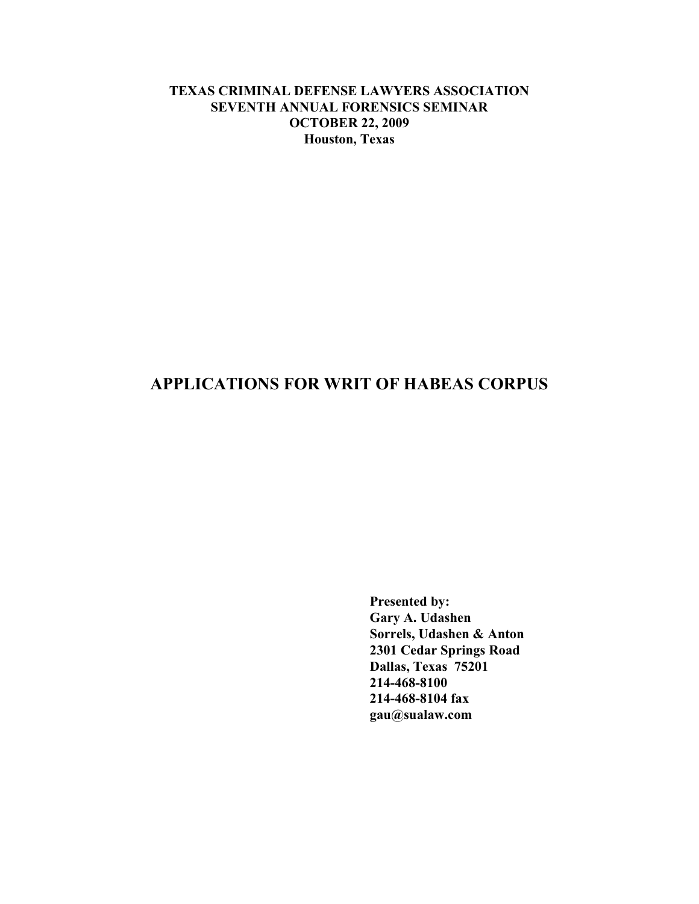## **TEXAS CRIMINAL DEFENSE LAWYERS ASSOCIATION SEVENTH ANNUAL FORENSICS SEMINAR OCTOBER 22, 2009 Houston, Texas**

# **APPLICATIONS FOR WRIT OF HABEAS CORPUS**

**Presented by: Gary A. Udashen Sorrels, Udashen & Anton 2301 Cedar Springs Road Dallas, Texas 75201 214-468-8100 214-468-8104 fax gau@sualaw.com**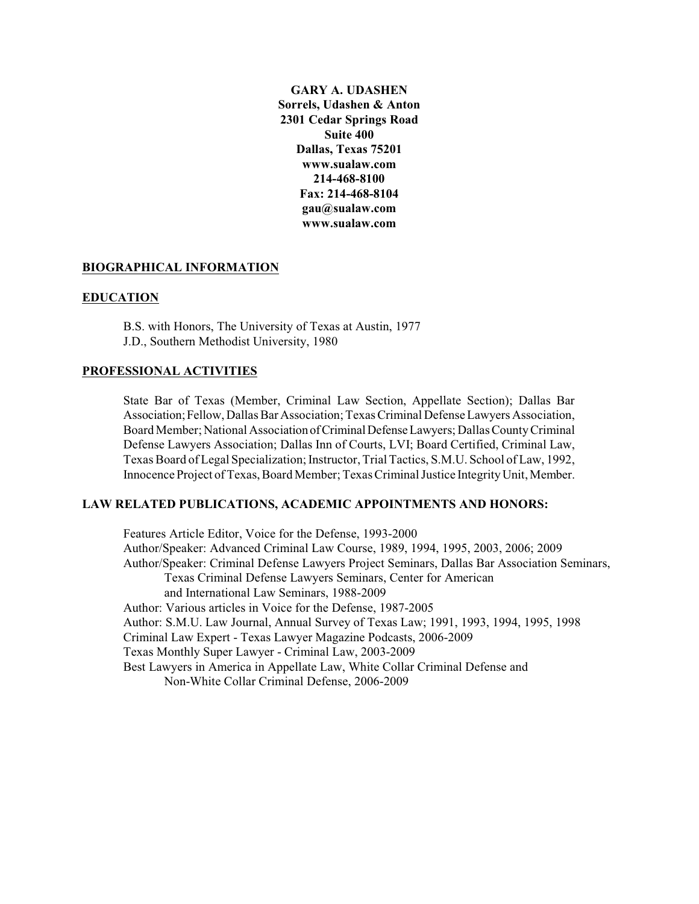**GARY A. UDASHEN Sorrels, Udashen & Anton 2301 Cedar Springs Road Suite 400 Dallas, Texas 75201 www.sualaw.com 214-468-8100 Fax: 214-468-8104 gau@sualaw.com www.sualaw.com**

#### **BIOGRAPHICAL INFORMATION**

#### **EDUCATION**

B.S. with Honors, The University of Texas at Austin, 1977 J.D., Southern Methodist University, 1980

#### **PROFESSIONAL ACTIVITIES**

State Bar of Texas (Member, Criminal Law Section, Appellate Section); Dallas Bar Association;Fellow, Dallas Bar Association; Texas Criminal Defense Lawyers Association, Board Member; National Association of Criminal Defense Lawyers; Dallas County Criminal Defense Lawyers Association; Dallas Inn of Courts, LVI; Board Certified, Criminal Law, Texas Board of Legal Specialization; Instructor, Trial Tactics, S.M.U. School of Law, 1992, Innocence Project of Texas, Board Member; Texas Criminal Justice Integrity Unit, Member.

### **LAW RELATED PUBLICATIONS, ACADEMIC APPOINTMENTS AND HONORS:**

Features Article Editor, Voice for the Defense, 1993-2000 Author/Speaker: Advanced Criminal Law Course, 1989, 1994, 1995, 2003, 2006; 2009 Author/Speaker: Criminal Defense Lawyers Project Seminars, Dallas Bar Association Seminars, Texas Criminal Defense Lawyers Seminars, Center for American and International Law Seminars, 1988-2009 Author: Various articles in Voice for the Defense, 1987-2005 Author: S.M.U. Law Journal, Annual Survey of Texas Law; 1991, 1993, 1994, 1995, 1998 Criminal Law Expert - Texas Lawyer Magazine Podcasts, 2006-2009 Texas Monthly Super Lawyer - Criminal Law, 2003-2009 Best Lawyers in America in Appellate Law, White Collar Criminal Defense and Non-White Collar Criminal Defense, 2006-2009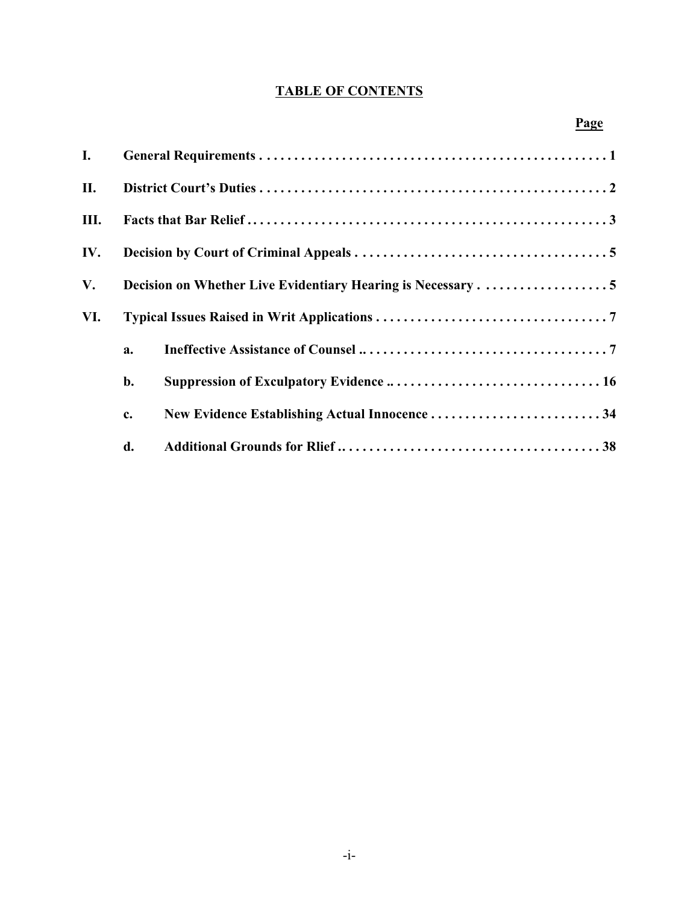# **TABLE OF CONTENTS**

| I.   |    |                                               |
|------|----|-----------------------------------------------|
| II.  |    |                                               |
| III. |    |                                               |
| IV.  |    |                                               |
| V.   |    |                                               |
| VI.  |    |                                               |
|      | a. |                                               |
|      | b. |                                               |
|      | c. | New Evidence Establishing Actual Innocence 34 |
|      | d. |                                               |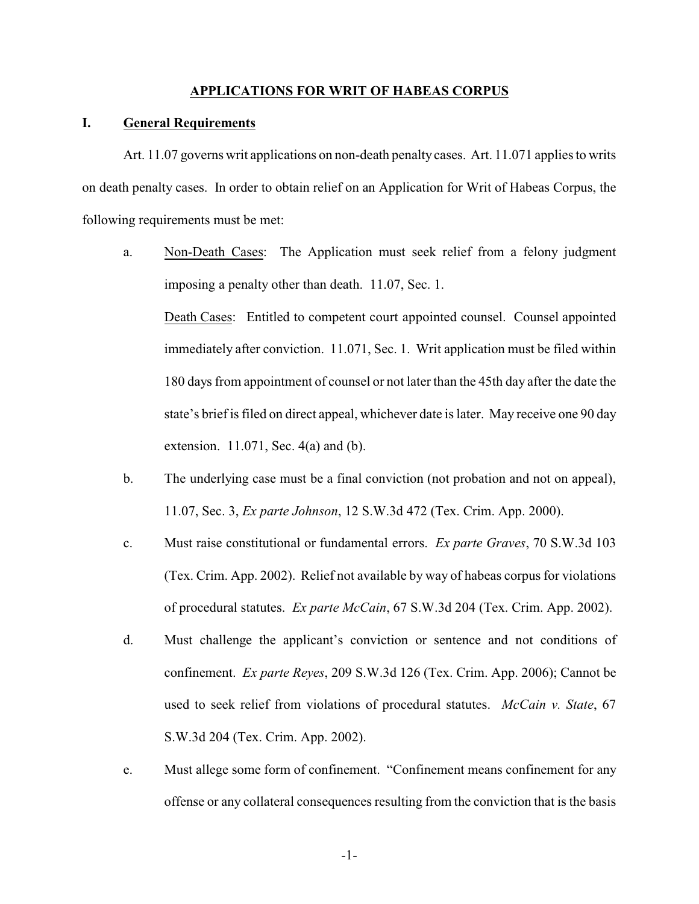## **APPLICATIONS FOR WRIT OF HABEAS CORPUS**

#### **I. General Requirements**

Art. 11.07 governs writ applications on non-death penalty cases. Art. 11.071 applies to writs on death penalty cases. In order to obtain relief on an Application for Writ of Habeas Corpus, the following requirements must be met:

- a. Non-Death Cases: The Application must seek relief from a felony judgment imposing a penalty other than death. 11.07, Sec. 1. Death Cases: Entitled to competent court appointed counsel. Counsel appointed immediately after conviction. 11.071, Sec. 1. Writ application must be filed within 180 days from appointment of counsel or not later than the 45th day after the date the state's brief is filed on direct appeal, whichever date is later. May receive one 90 day extension. 11.071, Sec. 4(a) and (b).
- b. The underlying case must be a final conviction (not probation and not on appeal), 11.07, Sec. 3, *Ex parte Johnson*, 12 S.W.3d 472 (Tex. Crim. App. 2000).
- c. Must raise constitutional or fundamental errors. *Ex parte Graves*, 70 S.W.3d 103 (Tex. Crim. App. 2002). Relief not available by way of habeas corpus for violations of procedural statutes. *Ex parte McCain*, 67 S.W.3d 204 (Tex. Crim. App. 2002).
- d. Must challenge the applicant's conviction or sentence and not conditions of confinement. *Ex parte Reyes*, 209 S.W.3d 126 (Tex. Crim. App. 2006); Cannot be used to seek relief from violations of procedural statutes. *McCain v. State*, 67 S.W.3d 204 (Tex. Crim. App. 2002).
- e. Must allege some form of confinement. "Confinement means confinement for any offense or any collateral consequences resulting from the conviction that is the basis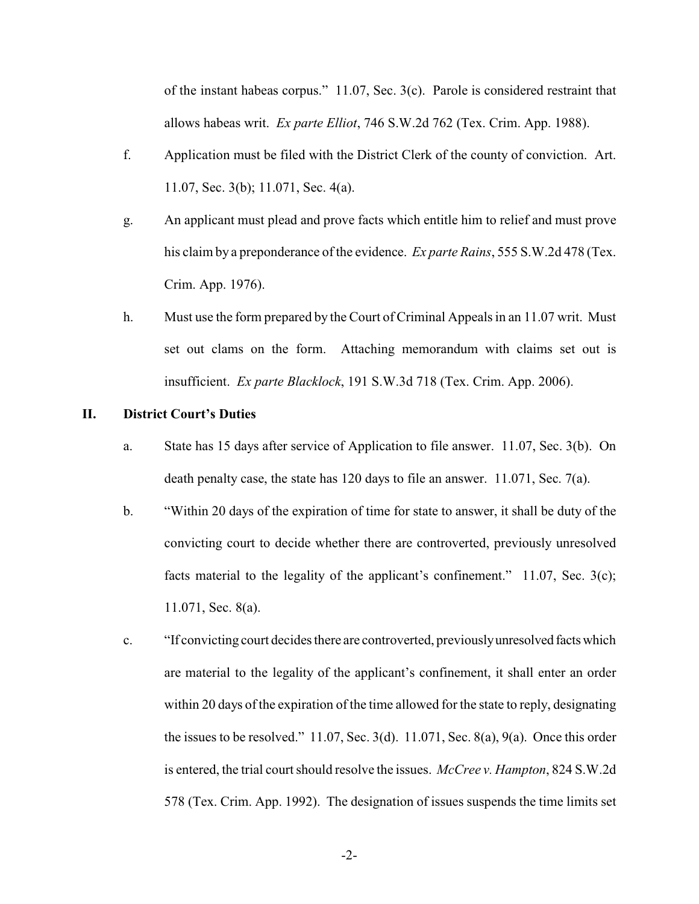of the instant habeas corpus." 11.07, Sec. 3(c). Parole is considered restraint that allows habeas writ. *Ex parte Elliot*, 746 S.W.2d 762 (Tex. Crim. App. 1988).

- f. Application must be filed with the District Clerk of the county of conviction. Art. 11.07, Sec. 3(b); 11.071, Sec. 4(a).
- g. An applicant must plead and prove facts which entitle him to relief and must prove his claim by a preponderance of the evidence. *Ex parte Rains*, 555 S.W.2d 478 (Tex. Crim. App. 1976).
- h. Must use the form prepared by the Court of Criminal Appeals in an 11.07 writ. Must set out clams on the form. Attaching memorandum with claims set out is insufficient. *Ex parte Blacklock*, 191 S.W.3d 718 (Tex. Crim. App. 2006).

## **II. District Court's Duties**

- a. State has 15 days after service of Application to file answer. 11.07, Sec. 3(b). On death penalty case, the state has 120 days to file an answer. 11.071, Sec. 7(a).
- b. "Within 20 days of the expiration of time for state to answer, it shall be duty of the convicting court to decide whether there are controverted, previously unresolved facts material to the legality of the applicant's confinement." 11.07, Sec. 3(c); 11.071, Sec. 8(a).
- c. "If convicting court decides there are controverted, previouslyunresolved factswhich are material to the legality of the applicant's confinement, it shall enter an order within 20 days of the expiration of the time allowed for the state to reply, designating the issues to be resolved."  $11.07$ , Sec.  $3(d)$ .  $11.071$ , Sec.  $8(a)$ ,  $9(a)$ . Once this order is entered, the trial court should resolve the issues. *McCreev. Hampton*, 824 S.W.2d 578 (Tex. Crim. App. 1992). The designation of issues suspends the time limits set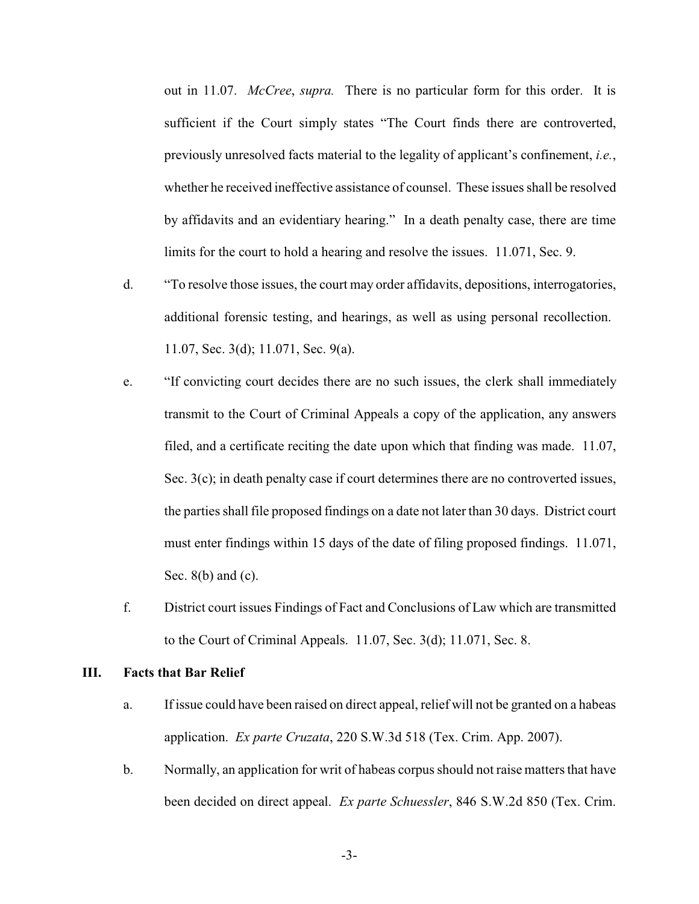out in 11.07. *McCree*, *supra.* There is no particular form for this order. It is sufficient if the Court simply states "The Court finds there are controverted, previously unresolved facts material to the legality of applicant's confinement, *i.e.*, whether he received ineffective assistance of counsel. These issues shall be resolved by affidavits and an evidentiary hearing." In a death penalty case, there are time limits for the court to hold a hearing and resolve the issues. 11.071, Sec. 9.

- d. "To resolve those issues, the court may order affidavits, depositions, interrogatories, additional forensic testing, and hearings, as well as using personal recollection. 11.07, Sec. 3(d); 11.071, Sec. 9(a).
- e. "If convicting court decides there are no such issues, the clerk shall immediately transmit to the Court of Criminal Appeals a copy of the application, any answers filed, and a certificate reciting the date upon which that finding was made. 11.07, Sec. 3(c); in death penalty case if court determines there are no controverted issues, the parties shall file proposed findings on a date not later than 30 days. District court must enter findings within 15 days of the date of filing proposed findings. 11.071, Sec. 8(b) and (c).
- f. District court issues Findings of Fact and Conclusions of Law which are transmitted to the Court of Criminal Appeals. 11.07, Sec. 3(d); 11.071, Sec. 8.

## **III. Facts that Bar Relief**

- a. If issue could have been raised on direct appeal, relief will not be granted on a habeas application. *Ex parte Cruzata*, 220 S.W.3d 518 (Tex. Crim. App. 2007).
- b. Normally, an application for writ of habeas corpus should not raise matters that have been decided on direct appeal. *Ex parte Schuessler*, 846 S.W.2d 850 (Tex. Crim.

-3-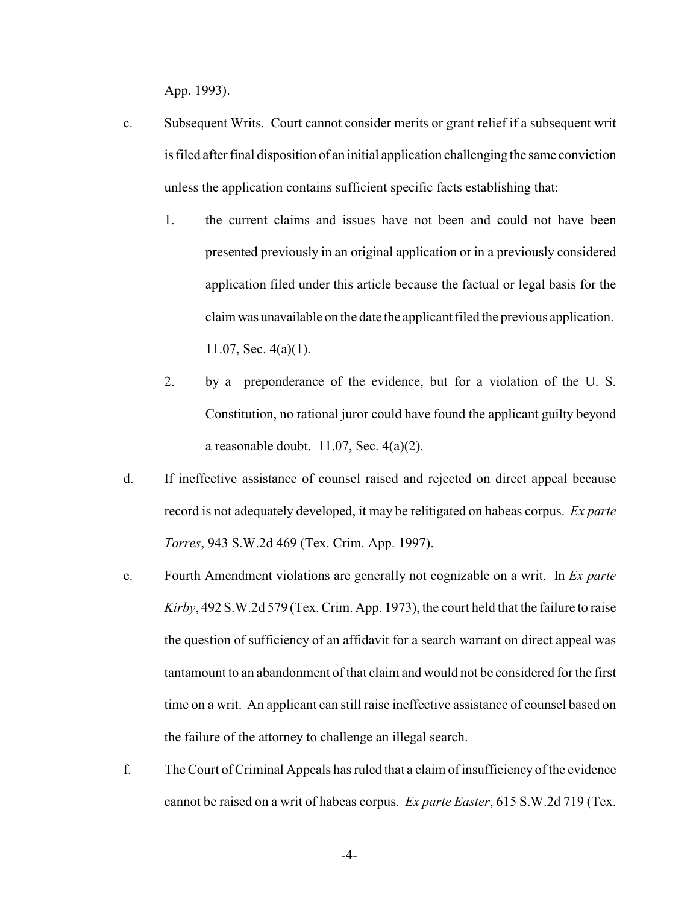App. 1993).

- c. Subsequent Writs. Court cannot consider merits or grant relief if a subsequent writ isfiled after final disposition of an initial application challenging the same conviction unless the application contains sufficient specific facts establishing that:
	- 1. the current claims and issues have not been and could not have been presented previously in an original application or in a previously considered application filed under this article because the factual or legal basis for the claimwas unavailable on the date the applicant filed the previous application. 11.07, Sec. 4(a)(1).
	- 2. by a preponderance of the evidence, but for a violation of the U. S. Constitution, no rational juror could have found the applicant guilty beyond a reasonable doubt.  $11.07$ , Sec.  $4(a)(2)$ .
- d. If ineffective assistance of counsel raised and rejected on direct appeal because record is not adequately developed, it may be relitigated on habeas corpus. *Ex parte Torres*, 943 S.W.2d 469 (Tex. Crim. App. 1997).
- e. Fourth Amendment violations are generally not cognizable on a writ. In *Ex parte Kirby*, 492 S.W.2d 579 (Tex. Crim. App. 1973), the court held that the failure to raise the question of sufficiency of an affidavit for a search warrant on direct appeal was tantamount to an abandonment of that claim and would not be considered for the first time on a writ. An applicant can still raise ineffective assistance of counsel based on the failure of the attorney to challenge an illegal search.
- f. TheCourt of Criminal Appeals has ruled that a claim of insufficiency of the evidence cannot be raised on a writ of habeas corpus. *Ex parte Easter*, 615 S.W.2d 719 (Tex.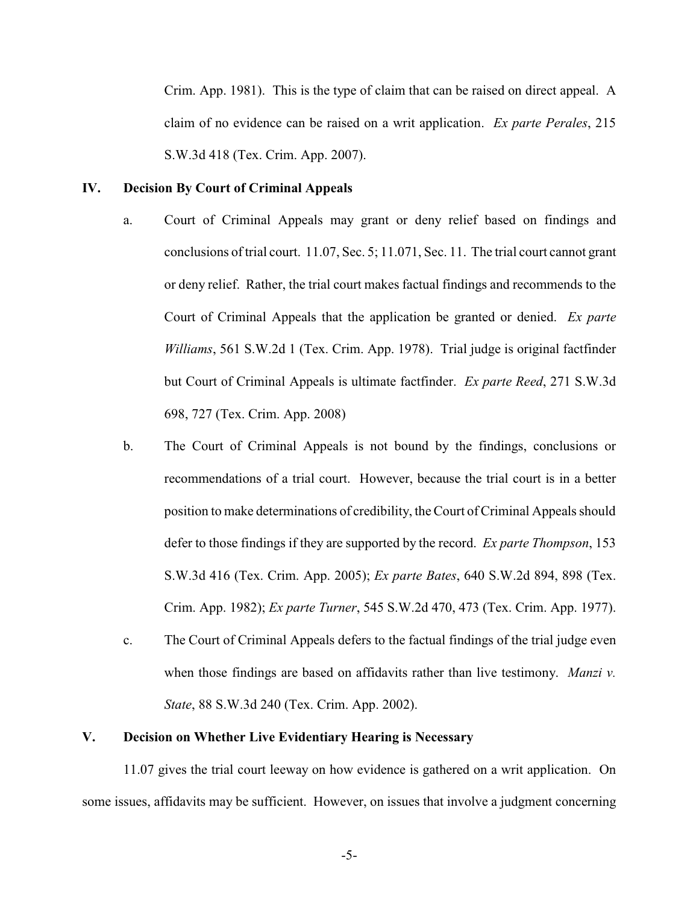Crim. App. 1981). This is the type of claim that can be raised on direct appeal. A claim of no evidence can be raised on a writ application. *Ex parte Perales*, 215 S.W.3d 418 (Tex. Crim. App. 2007).

## **IV. Decision By Court of Criminal Appeals**

- a. Court of Criminal Appeals may grant or deny relief based on findings and conclusions of trial court. 11.07, Sec. 5; 11.071, Sec. 11. The trial court cannot grant or deny relief. Rather, the trial court makes factual findings and recommends to the Court of Criminal Appeals that the application be granted or denied. *Ex parte Williams*, 561 S.W.2d 1 (Tex. Crim. App. 1978). Trial judge is original factfinder but Court of Criminal Appeals is ultimate factfinder. *Ex parte Reed*, 271 S.W.3d 698, 727 (Tex. Crim. App. 2008)
- b. The Court of Criminal Appeals is not bound by the findings, conclusions or recommendations of a trial court. However, because the trial court is in a better position to make determinations of credibility, the Court of Criminal Appeals should defer to those findings if they are supported by the record. *Ex parte Thompson*, 153 S.W.3d 416 (Tex. Crim. App. 2005); *Ex parte Bates*, 640 S.W.2d 894, 898 (Tex. Crim. App. 1982); *Ex parte Turner*, 545 S.W.2d 470, 473 (Tex. Crim. App. 1977).
- c. The Court of Criminal Appeals defers to the factual findings of the trial judge even when those findings are based on affidavits rather than live testimony. *Manzi v. State*, 88 S.W.3d 240 (Tex. Crim. App. 2002).

## **V. Decision on Whether Live Evidentiary Hearing is Necessary**

11.07 gives the trial court leeway on how evidence is gathered on a writ application. On some issues, affidavits may be sufficient. However, on issues that involve a judgment concerning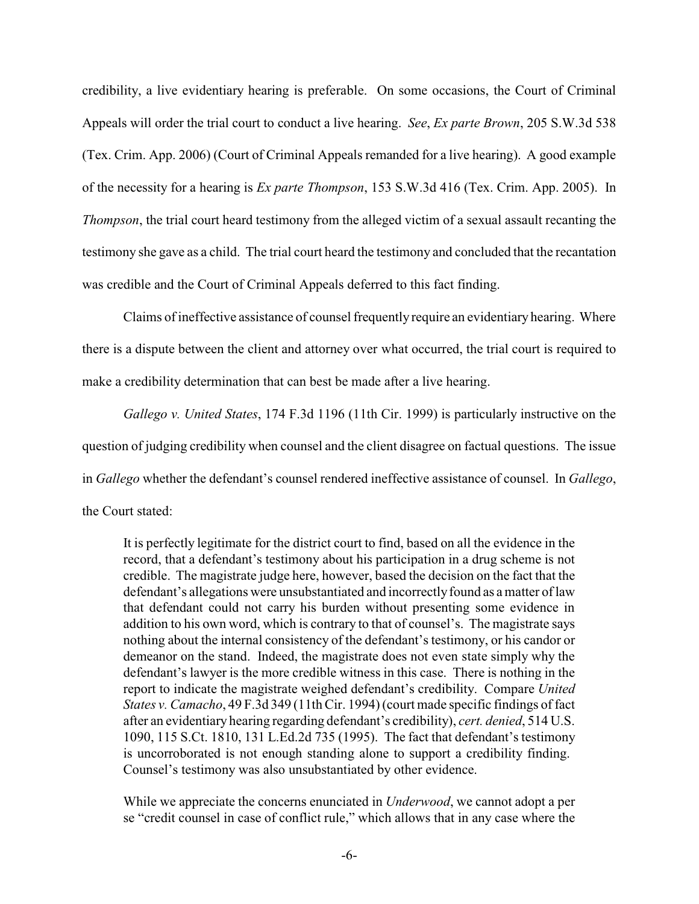credibility, a live evidentiary hearing is preferable. On some occasions, the Court of Criminal Appeals will order the trial court to conduct a live hearing. *See*, *Ex parte Brown*, 205 S.W.3d 538 (Tex. Crim. App. 2006) (Court of Criminal Appeals remanded for a live hearing). A good example of the necessity for a hearing is *Ex parte Thompson*, 153 S.W.3d 416 (Tex. Crim. App. 2005). In *Thompson*, the trial court heard testimony from the alleged victim of a sexual assault recanting the testimony she gave as a child. The trial court heard the testimony and concluded that the recantation was credible and the Court of Criminal Appeals deferred to this fact finding.

Claims of ineffective assistance of counsel frequently require an evidentiary hearing. Where there is a dispute between the client and attorney over what occurred, the trial court is required to make a credibility determination that can best be made after a live hearing.

*Gallego v. United States*, 174 F.3d 1196 (11th Cir. 1999) is particularly instructive on the question of judging credibility when counsel and the client disagree on factual questions. The issue in *Gallego* whether the defendant's counsel rendered ineffective assistance of counsel. In *Gallego*, the Court stated:

It is perfectly legitimate for the district court to find, based on all the evidence in the record, that a defendant's testimony about his participation in a drug scheme is not credible. The magistrate judge here, however, based the decision on the fact that the defendant's allegations were unsubstantiated and incorrectlyfound as a matter of law that defendant could not carry his burden without presenting some evidence in addition to his own word, which is contrary to that of counsel's. The magistrate says nothing about the internal consistency of the defendant's testimony, or his candor or demeanor on the stand. Indeed, the magistrate does not even state simply why the defendant's lawyer is the more credible witness in this case. There is nothing in the report to indicate the magistrate weighed defendant's credibility. Compare *United States v. Camacho*, 49 F.3d 349 (11th Cir. 1994) (court made specific findings of fact after an evidentiary hearing regarding defendant's credibility), *cert. denied*, 514 U.S. 1090, 115 S.Ct. 1810, 131 L.Ed.2d 735 (1995). The fact that defendant's testimony is uncorroborated is not enough standing alone to support a credibility finding. Counsel's testimony was also unsubstantiated by other evidence.

While we appreciate the concerns enunciated in *Underwood*, we cannot adopt a per se "credit counsel in case of conflict rule," which allows that in any case where the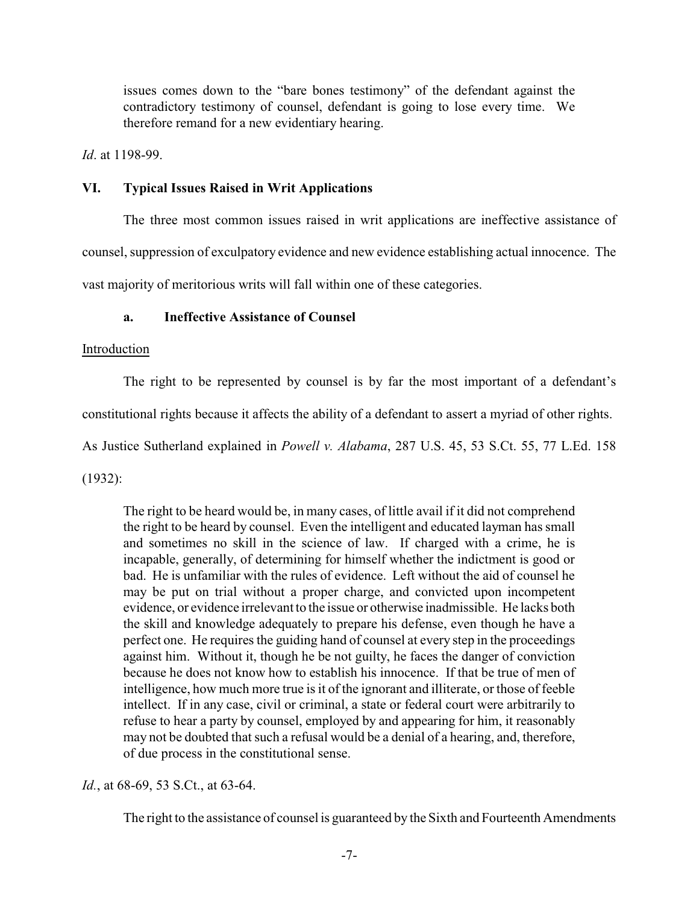issues comes down to the "bare bones testimony" of the defendant against the contradictory testimony of counsel, defendant is going to lose every time. We therefore remand for a new evidentiary hearing.

*Id*. at 1198-99.

## **VI. Typical Issues Raised in Writ Applications**

The three most common issues raised in writ applications are ineffective assistance of

counsel, suppression of exculpatory evidence and new evidence establishing actual innocence. The

vast majority of meritorious writs will fall within one of these categories.

## **a. Ineffective Assistance of Counsel**

## Introduction

The right to be represented by counsel is by far the most important of a defendant's

constitutional rights because it affects the ability of a defendant to assert a myriad of other rights.

As Justice Sutherland explained in *Powell v. Alabama*, 287 U.S. 45, 53 S.Ct. 55, 77 L.Ed. 158

(1932):

The right to be heard would be, in many cases, of little avail if it did not comprehend the right to be heard by counsel. Even the intelligent and educated layman has small and sometimes no skill in the science of law. If charged with a crime, he is incapable, generally, of determining for himself whether the indictment is good or bad. He is unfamiliar with the rules of evidence. Left without the aid of counsel he may be put on trial without a proper charge, and convicted upon incompetent evidence, or evidence irrelevant to the issue or otherwise inadmissible. He lacks both the skill and knowledge adequately to prepare his defense, even though he have a perfect one. He requires the guiding hand of counsel at every step in the proceedings against him. Without it, though he be not guilty, he faces the danger of conviction because he does not know how to establish his innocence. If that be true of men of intelligence, how much more true is it of the ignorant and illiterate, or those of feeble intellect. If in any case, civil or criminal, a state or federal court were arbitrarily to refuse to hear a party by counsel, employed by and appearing for him, it reasonably may not be doubted that such a refusal would be a denial of a hearing, and, therefore, of due process in the constitutional sense.

*Id.*, at 68-69, 53 S.Ct., at 63-64.

The right to the assistance of counsel is guaranteed by the Sixth and Fourteenth Amendments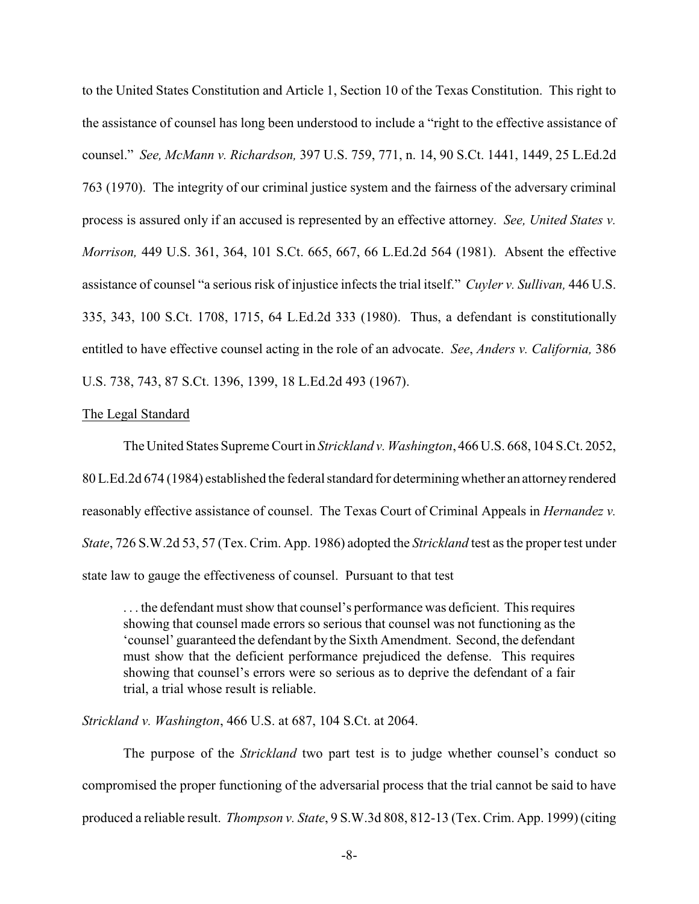to the United States Constitution and Article 1, Section 10 of the Texas Constitution. This right to the assistance of counsel has long been understood to include a "right to the effective assistance of counsel." *See, McMann v. Richardson,* 397 U.S. 759, 771, n. 14, 90 S.Ct. 1441, 1449, 25 L.Ed.2d 763 (1970). The integrity of our criminal justice system and the fairness of the adversary criminal process is assured only if an accused is represented by an effective attorney. *See, United States v. Morrison,* 449 U.S. 361, 364, 101 S.Ct. 665, 667, 66 L.Ed.2d 564 (1981). Absent the effective assistance of counsel "a serious risk of injustice infects the trial itself." *Cuyler v. Sullivan,* 446 U.S. 335, 343, 100 S.Ct. 1708, 1715, 64 L.Ed.2d 333 (1980). Thus, a defendant is constitutionally entitled to have effective counsel acting in the role of an advocate. *See*, *Anders v. California,* 386 U.S. 738, 743, 87 S.Ct. 1396, 1399, 18 L.Ed.2d 493 (1967).

### The Legal Standard

The United States Supreme Court in *Strickland v. Washington*, 466 U.S. 668, 104 S.Ct. 2052, 80L.Ed.2d 674 (1984) established the federal standard for determining whether an attorneyrendered reasonably effective assistance of counsel. The Texas Court of Criminal Appeals in *Hernandez v. State*, 726 S.W.2d 53, 57 (Tex. Crim. App. 1986) adopted the *Strickland* test as the proper test under state law to gauge the effectiveness of counsel. Pursuant to that test

. . . the defendant must show that counsel's performance was deficient. This requires showing that counsel made errors so serious that counsel was not functioning as the 'counsel' guaranteed the defendant by the Sixth Amendment. Second, the defendant must show that the deficient performance prejudiced the defense. This requires showing that counsel's errors were so serious as to deprive the defendant of a fair trial, a trial whose result is reliable.

*Strickland v. Washington*, 466 U.S. at 687, 104 S.Ct. at 2064.

The purpose of the *Strickland* two part test is to judge whether counsel's conduct so compromised the proper functioning of the adversarial process that the trial cannot be said to have produced a reliable result. *Thompson v. State*, 9 S.W.3d 808, 812-13 (Tex. Crim. App. 1999) (citing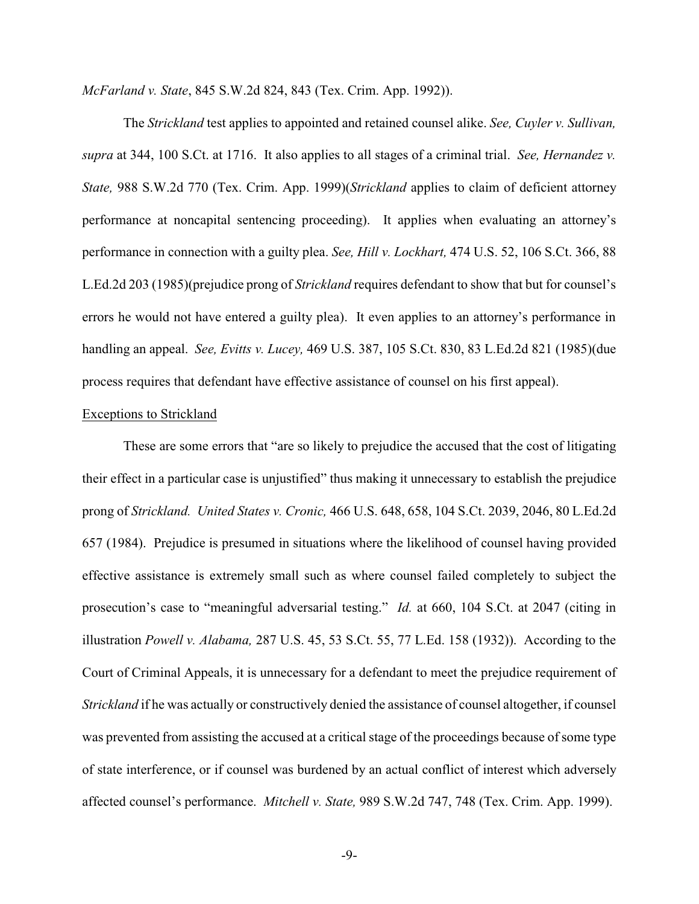*McFarland v. State*, 845 S.W.2d 824, 843 (Tex. Crim. App. 1992)).

The *Strickland* test applies to appointed and retained counsel alike. *See, Cuyler v. Sullivan, supra* at 344, 100 S.Ct. at 1716. It also applies to all stages of a criminal trial. *See, Hernandez v. State,* 988 S.W.2d 770 (Tex. Crim. App. 1999)(*Strickland* applies to claim of deficient attorney performance at noncapital sentencing proceeding). It applies when evaluating an attorney's performance in connection with a guilty plea. *See, Hill v. Lockhart,* 474 U.S. 52, 106 S.Ct. 366, 88 L.Ed.2d 203 (1985)(prejudice prong of *Strickland* requires defendant to show that but for counsel's errors he would not have entered a guilty plea). It even applies to an attorney's performance in handling an appeal. *See, Evitts v. Lucey,* 469 U.S. 387, 105 S.Ct. 830, 83 L.Ed.2d 821 (1985)(due process requires that defendant have effective assistance of counsel on his first appeal).

## Exceptions to Strickland

These are some errors that "are so likely to prejudice the accused that the cost of litigating their effect in a particular case is unjustified" thus making it unnecessary to establish the prejudice prong of *Strickland. United States v. Cronic,* 466 U.S. 648, 658, 104 S.Ct. 2039, 2046, 80 L.Ed.2d 657 (1984). Prejudice is presumed in situations where the likelihood of counsel having provided effective assistance is extremely small such as where counsel failed completely to subject the prosecution's case to "meaningful adversarial testing." *Id.* at 660, 104 S.Ct. at 2047 (citing in illustration *Powell v. Alabama,* 287 U.S. 45, 53 S.Ct. 55, 77 L.Ed. 158 (1932)). According to the Court of Criminal Appeals, it is unnecessary for a defendant to meet the prejudice requirement of *Strickland* if he was actually or constructively denied the assistance of counsel altogether, if counsel was prevented from assisting the accused at a critical stage of the proceedings because of some type of state interference, or if counsel was burdened by an actual conflict of interest which adversely affected counsel's performance. *Mitchell v. State,* 989 S.W.2d 747, 748 (Tex. Crim. App. 1999).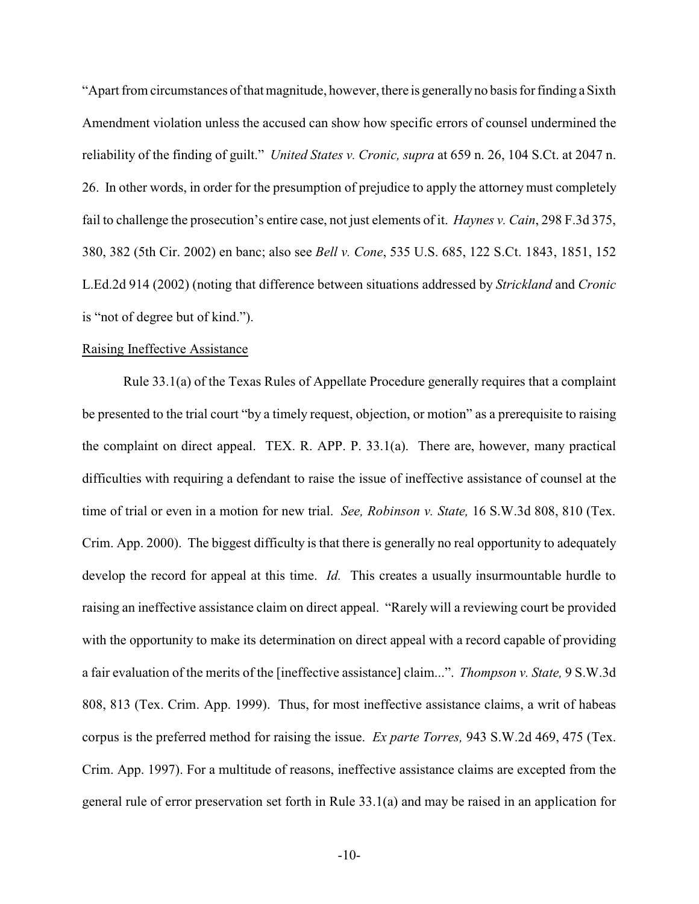"Apart from circumstances of that magnitude, however, there is generally no basis for finding a Sixth Amendment violation unless the accused can show how specific errors of counsel undermined the reliability of the finding of guilt." *United States v. Cronic, supra* at 659 n. 26, 104 S.Ct. at 2047 n. 26. In other words, in order for the presumption of prejudice to apply the attorney must completely fail to challenge the prosecution's entire case, not just elements of it. *Haynes v. Cain*, 298 F.3d 375, 380, 382 (5th Cir. 2002) en banc; also see *Bell v. Cone*, 535 U.S. 685, 122 S.Ct. 1843, 1851, 152 L.Ed.2d 914 (2002) (noting that difference between situations addressed by *Strickland* and *Cronic* is "not of degree but of kind.").

#### Raising Ineffective Assistance

Rule 33.1(a) of the Texas Rules of Appellate Procedure generally requires that a complaint be presented to the trial court "by a timely request, objection, or motion" as a prerequisite to raising the complaint on direct appeal. TEX. R. APP. P. 33.1(a). There are, however, many practical difficulties with requiring a defendant to raise the issue of ineffective assistance of counsel at the time of trial or even in a motion for new trial. *See, Robinson v. State,* 16 S.W.3d 808, 810 (Tex. Crim. App. 2000). The biggest difficulty is that there is generally no real opportunity to adequately develop the record for appeal at this time. *Id.* This creates a usually insurmountable hurdle to raising an ineffective assistance claim on direct appeal. "Rarely will a reviewing court be provided with the opportunity to make its determination on direct appeal with a record capable of providing a fair evaluation of the merits of the [ineffective assistance] claim...". *Thompson v. State,* 9 S.W.3d 808, 813 (Tex. Crim. App. 1999). Thus, for most ineffective assistance claims, a writ of habeas corpus is the preferred method for raising the issue. *Ex parte Torres,* 943 S.W.2d 469, 475 (Tex. Crim. App. 1997). For a multitude of reasons, ineffective assistance claims are excepted from the general rule of error preservation set forth in Rule 33.1(a) and may be raised in an application for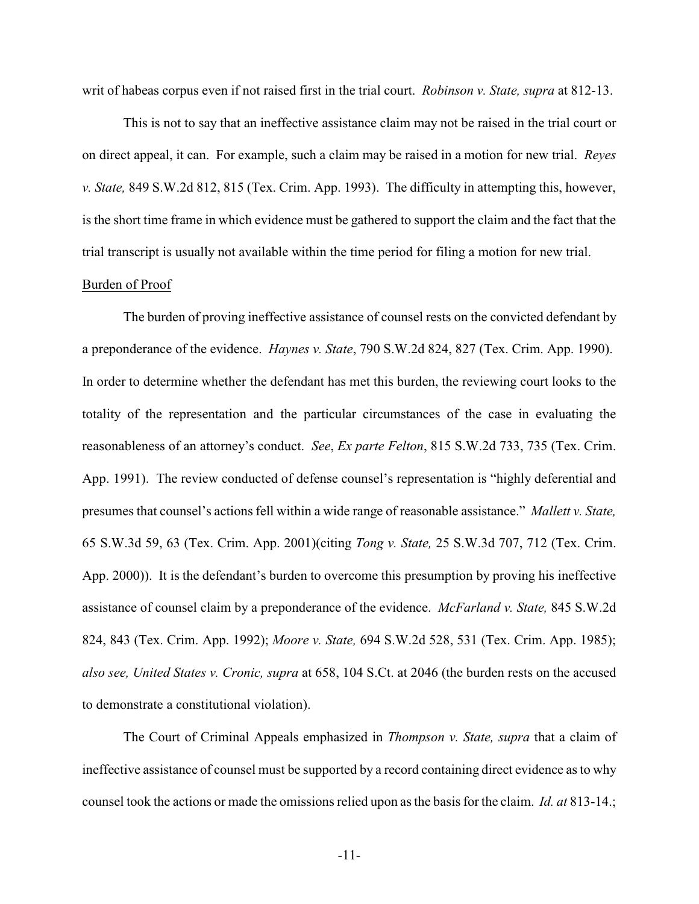writ of habeas corpus even if not raised first in the trial court. *Robinson v. State, supra* at 812-13.

This is not to say that an ineffective assistance claim may not be raised in the trial court or on direct appeal, it can. For example, such a claim may be raised in a motion for new trial. *Reyes v. State,* 849 S.W.2d 812, 815 (Tex. Crim. App. 1993). The difficulty in attempting this, however, is the short time frame in which evidence must be gathered to support the claim and the fact that the trial transcript is usually not available within the time period for filing a motion for new trial.

### Burden of Proof

The burden of proving ineffective assistance of counsel rests on the convicted defendant by a preponderance of the evidence. *Haynes v. State*, 790 S.W.2d 824, 827 (Tex. Crim. App. 1990). In order to determine whether the defendant has met this burden, the reviewing court looks to the totality of the representation and the particular circumstances of the case in evaluating the reasonableness of an attorney's conduct. *See*, *Ex parte Felton*, 815 S.W.2d 733, 735 (Tex. Crim. App. 1991). The review conducted of defense counsel's representation is "highly deferential and presumesthat counsel's actions fell within a wide range of reasonable assistance." *Mallett v. State,* 65 S.W.3d 59, 63 (Tex. Crim. App. 2001)(citing *Tong v. State,* 25 S.W.3d 707, 712 (Tex. Crim. App. 2000)). It is the defendant's burden to overcome this presumption by proving his ineffective assistance of counsel claim by a preponderance of the evidence. *McFarland v. State,* 845 S.W.2d 824, 843 (Tex. Crim. App. 1992); *Moore v. State,* 694 S.W.2d 528, 531 (Tex. Crim. App. 1985); *also see, United States v. Cronic, supra* at 658, 104 S.Ct. at 2046 (the burden rests on the accused to demonstrate a constitutional violation).

The Court of Criminal Appeals emphasized in *Thompson v. State, supra* that a claim of ineffective assistance of counsel must be supported by a record containing direct evidence as to why counsel took the actions or made the omissions relied upon as the basis for the claim. *Id. at* 813-14.;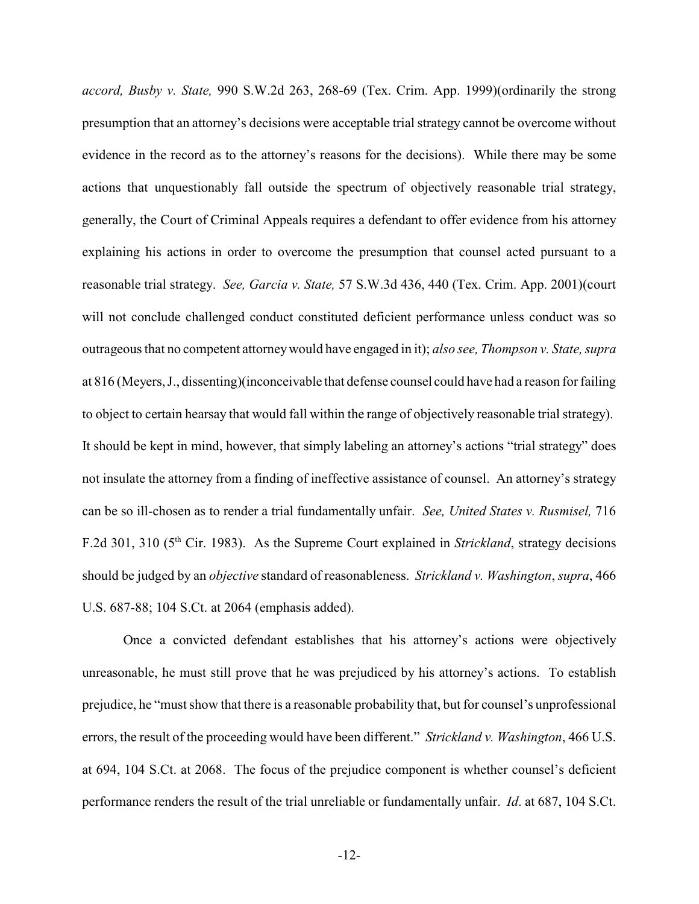*accord, Busby v. State,* 990 S.W.2d 263, 268-69 (Tex. Crim. App. 1999)(ordinarily the strong presumption that an attorney's decisions were acceptable trial strategy cannot be overcome without evidence in the record as to the attorney's reasons for the decisions). While there may be some actions that unquestionably fall outside the spectrum of objectively reasonable trial strategy, generally, the Court of Criminal Appeals requires a defendant to offer evidence from his attorney explaining his actions in order to overcome the presumption that counsel acted pursuant to a reasonable trial strategy. *See, Garcia v. State,* 57 S.W.3d 436, 440 (Tex. Crim. App. 2001)(court will not conclude challenged conduct constituted deficient performance unless conduct was so outrageousthat no competent attorneywould have engaged in it); *also see, Thompson v. State, supra* at 816 (Meyers,J., dissenting)(inconceivable that defense counsel could have had a reason for failing to object to certain hearsay that would fall within the range of objectively reasonable trial strategy). It should be kept in mind, however, that simply labeling an attorney's actions "trial strategy" does not insulate the attorney from a finding of ineffective assistance of counsel. An attorney's strategy can be so ill-chosen as to render a trial fundamentally unfair. *See, United States v. Rusmisel,* 716 F.2d 301, 310 (5th Cir. 1983). As the Supreme Court explained in *Strickland*, strategy decisions should be judged by an *objective* standard of reasonableness. *Strickland v. Washington*, *supra*, 466 U.S. 687-88; 104 S.Ct. at 2064 (emphasis added).

Once a convicted defendant establishes that his attorney's actions were objectively unreasonable, he must still prove that he was prejudiced by his attorney's actions. To establish prejudice, he "must show that there is a reasonable probability that, but for counsel's unprofessional errors, the result of the proceeding would have been different." *Strickland v. Washington*, 466 U.S. at 694, 104 S.Ct. at 2068. The focus of the prejudice component is whether counsel's deficient performance renders the result of the trial unreliable or fundamentally unfair. *Id*. at 687, 104 S.Ct.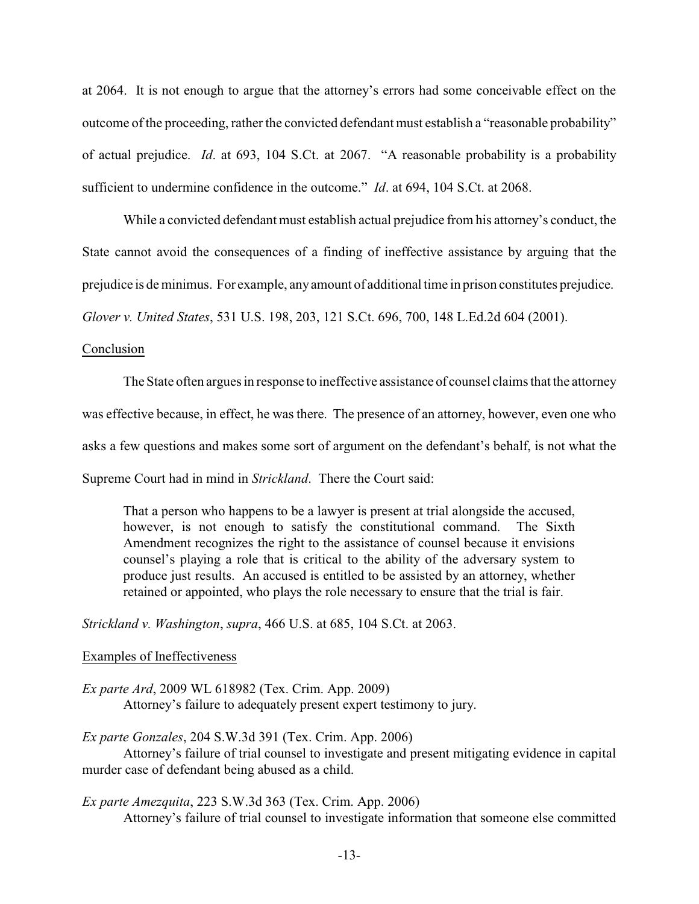at 2064. It is not enough to argue that the attorney's errors had some conceivable effect on the outcome of the proceeding, rather the convicted defendant must establish a "reasonable probability" of actual prejudice. *Id*. at 693, 104 S.Ct. at 2067. "A reasonable probability is a probability sufficient to undermine confidence in the outcome." *Id*. at 694, 104 S.Ct. at 2068.

While a convicted defendant must establish actual prejudice from his attorney's conduct, the State cannot avoid the consequences of a finding of ineffective assistance by arguing that the prejudice is de minimus. For example, anyamount of additional time in prison constitutes prejudice. *Glover v. United States*, 531 U.S. 198, 203, 121 S.Ct. 696, 700, 148 L.Ed.2d 604 (2001).

#### Conclusion

The State often argues in response to ineffective assistance of counsel claims that the attorney was effective because, in effect, he was there. The presence of an attorney, however, even one who asks a few questions and makes some sort of argument on the defendant's behalf, is not what the Supreme Court had in mind in *Strickland*. There the Court said:

That a person who happens to be a lawyer is present at trial alongside the accused, however, is not enough to satisfy the constitutional command. The Sixth Amendment recognizes the right to the assistance of counsel because it envisions counsel's playing a role that is critical to the ability of the adversary system to produce just results. An accused is entitled to be assisted by an attorney, whether retained or appointed, who plays the role necessary to ensure that the trial is fair.

*Strickland v. Washington*, *supra*, 466 U.S. at 685, 104 S.Ct. at 2063.

#### Examples of Ineffectiveness

*Ex parte Ard*, 2009 WL 618982 (Tex. Crim. App. 2009) Attorney's failure to adequately present expert testimony to jury.

*Ex parte Gonzales*, 204 S.W.3d 391 (Tex. Crim. App. 2006)

Attorney's failure of trial counsel to investigate and present mitigating evidence in capital murder case of defendant being abused as a child.

*Ex parte Amezquita*, 223 S.W.3d 363 (Tex. Crim. App. 2006)

Attorney's failure of trial counsel to investigate information that someone else committed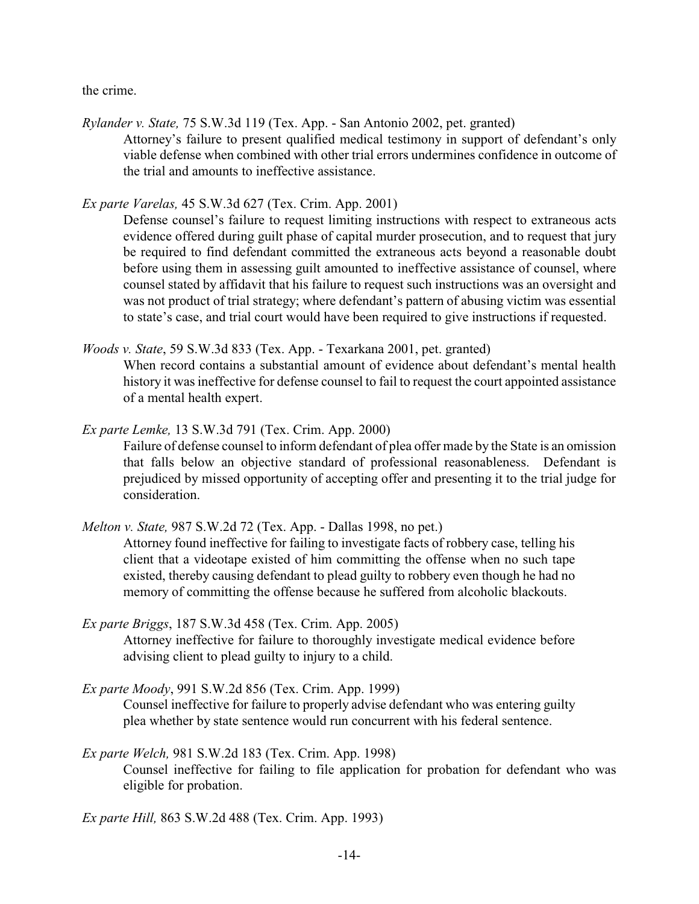the crime.

*Rylander v. State,* 75 S.W.3d 119 (Tex. App. - San Antonio 2002, pet. granted) Attorney's failure to present qualified medical testimony in support of defendant's only viable defense when combined with other trial errors undermines confidence in outcome of the trial and amounts to ineffective assistance.

*Ex parte Varelas,* 45 S.W.3d 627 (Tex. Crim. App. 2001)

Defense counsel's failure to request limiting instructions with respect to extraneous acts evidence offered during guilt phase of capital murder prosecution, and to request that jury be required to find defendant committed the extraneous acts beyond a reasonable doubt before using them in assessing guilt amounted to ineffective assistance of counsel, where counsel stated by affidavit that his failure to request such instructions was an oversight and was not product of trial strategy; where defendant's pattern of abusing victim was essential to state's case, and trial court would have been required to give instructions if requested.

*Woods v. State*, 59 S.W.3d 833 (Tex. App. - Texarkana 2001, pet. granted)

When record contains a substantial amount of evidence about defendant's mental health history it was ineffective for defense counsel to fail to request the court appointed assistance of a mental health expert.

*Ex parte Lemke,* 13 S.W.3d 791 (Tex. Crim. App. 2000) Failure of defense counsel to inform defendant of plea offer made by the State is an omission that falls below an objective standard of professional reasonableness. Defendant is prejudiced by missed opportunity of accepting offer and presenting it to the trial judge for consideration.

*Melton v. State,* 987 S.W.2d 72 (Tex. App. - Dallas 1998, no pet.)

Attorney found ineffective for failing to investigate facts of robbery case, telling his client that a videotape existed of him committing the offense when no such tape existed, thereby causing defendant to plead guilty to robbery even though he had no memory of committing the offense because he suffered from alcoholic blackouts.

*Ex parte Briggs*, 187 S.W.3d 458 (Tex. Crim. App. 2005) Attorney ineffective for failure to thoroughly investigate medical evidence before advising client to plead guilty to injury to a child.

- *Ex parte Moody*, 991 S.W.2d 856 (Tex. Crim. App. 1999) Counsel ineffective for failure to properly advise defendant who was entering guilty plea whether by state sentence would run concurrent with his federal sentence.
- *Ex parte Welch,* 981 S.W.2d 183 (Tex. Crim. App. 1998) Counsel ineffective for failing to file application for probation for defendant who was eligible for probation.

*Ex parte Hill,* 863 S.W.2d 488 (Tex. Crim. App. 1993)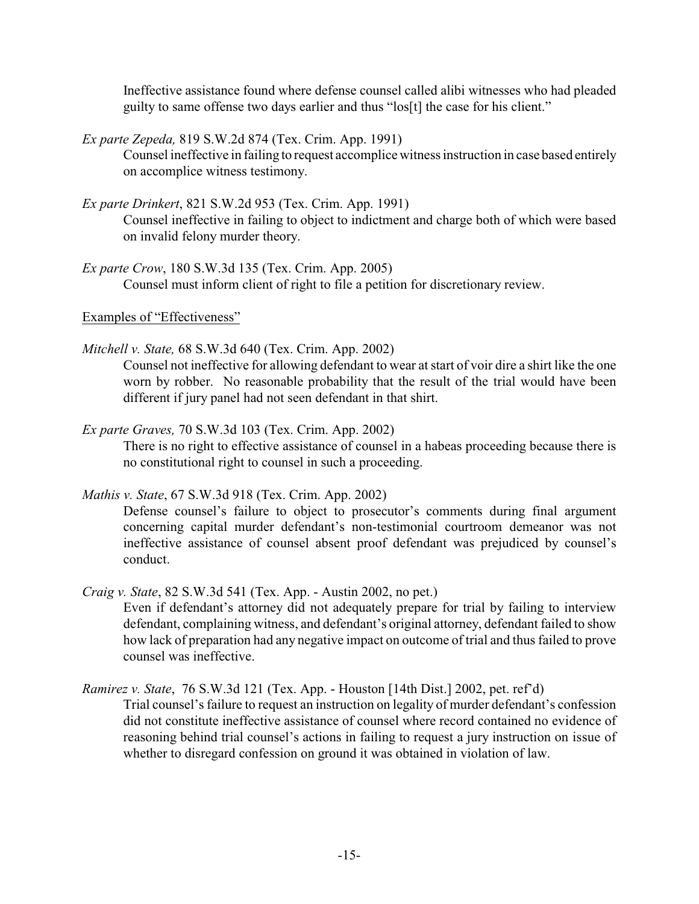Ineffective assistance found where defense counsel called alibi witnesses who had pleaded guilty to same offense two days earlier and thus "los[t] the case for his client."

*Ex parte Zepeda,* 819 S.W.2d 874 (Tex. Crim. App. 1991)

Counsel ineffective in failing to request accomplice witness instruction in case based entirely on accomplice witness testimony.

*Ex parte Drinkert*, 821 S.W.2d 953 (Tex. Crim. App. 1991)

Counsel ineffective in failing to object to indictment and charge both of which were based on invalid felony murder theory.

*Ex parte Crow*, 180 S.W.3d 135 (Tex. Crim. App. 2005) Counsel must inform client of right to file a petition for discretionary review.

Examples of "Effectiveness"

*Mitchell v. State,* 68 S.W.3d 640 (Tex. Crim. App. 2002)

Counsel not ineffective for allowing defendant to wear at start of voir dire a shirt like the one worn by robber. No reasonable probability that the result of the trial would have been different if jury panel had not seen defendant in that shirt.

*Ex parte Graves,* 70 S.W.3d 103 (Tex. Crim. App. 2002)

There is no right to effective assistance of counsel in a habeas proceeding because there is no constitutional right to counsel in such a proceeding.

## *Mathis v. State*, 67 S.W.3d 918 (Tex. Crim. App. 2002)

Defense counsel's failure to object to prosecutor's comments during final argument concerning capital murder defendant's non-testimonial courtroom demeanor was not ineffective assistance of counsel absent proof defendant was prejudiced by counsel's conduct.

*Craig v. State*, 82 S.W.3d 541 (Tex. App. - Austin 2002, no pet.)

Even if defendant's attorney did not adequately prepare for trial by failing to interview defendant, complaining witness, and defendant's original attorney, defendant failed to show how lack of preparation had any negative impact on outcome of trial and thus failed to prove counsel was ineffective.

*Ramirez v. State*, 76 S.W.3d 121 (Tex. App. - Houston [14th Dist.] 2002, pet. ref'd) Trial counsel's failure to request an instruction on legality of murder defendant's confession did not constitute ineffective assistance of counsel where record contained no evidence of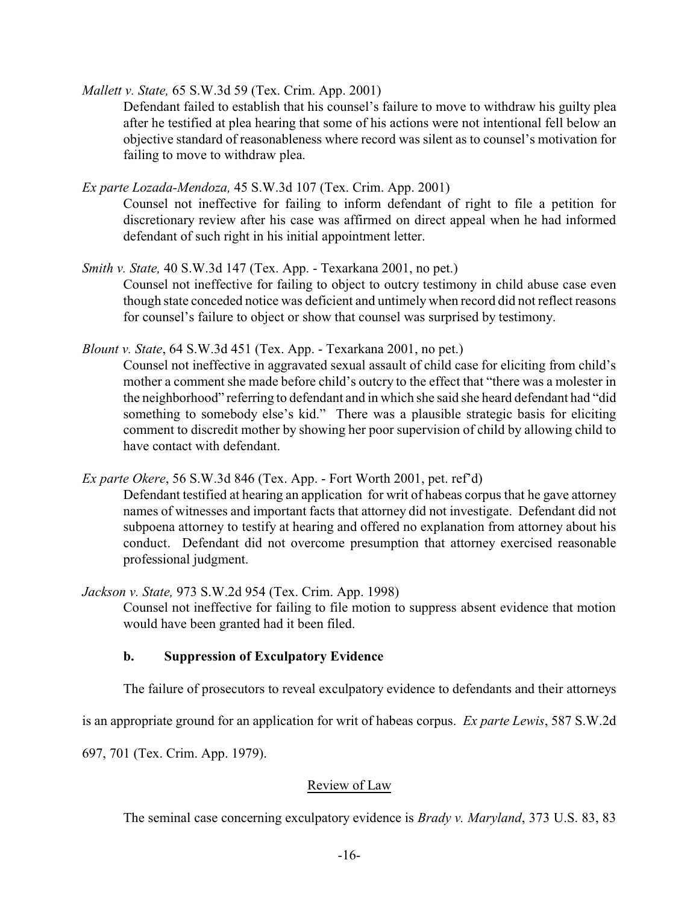*Mallett v. State,* 65 S.W.3d 59 (Tex. Crim. App. 2001)

Defendant failed to establish that his counsel's failure to move to withdraw his guilty plea after he testified at plea hearing that some of his actions were not intentional fell below an objective standard of reasonableness where record was silent as to counsel's motivation for failing to move to withdraw plea.

*Ex parte Lozada-Mendoza,* 45 S.W.3d 107 (Tex. Crim. App. 2001)

Counsel not ineffective for failing to inform defendant of right to file a petition for discretionary review after his case was affirmed on direct appeal when he had informed defendant of such right in his initial appointment letter.

*Smith v. State,* 40 S.W.3d 147 (Tex. App. - Texarkana 2001, no pet.)

Counsel not ineffective for failing to object to outcry testimony in child abuse case even though state conceded notice was deficient and untimely when record did not reflect reasons for counsel's failure to object or show that counsel was surprised by testimony.

*Blount v. State*, 64 S.W.3d 451 (Tex. App. - Texarkana 2001, no pet.)

Counsel not ineffective in aggravated sexual assault of child case for eliciting from child's mother a comment she made before child's outcry to the effect that "there was a molester in the neighborhood" referring to defendant and in which she said she heard defendant had "did something to somebody else's kid." There was a plausible strategic basis for eliciting comment to discredit mother by showing her poor supervision of child by allowing child to have contact with defendant.

*Ex parte Okere*, 56 S.W.3d 846 (Tex. App. - Fort Worth 2001, pet. ref'd)

Defendant testified at hearing an application for writ of habeas corpus that he gave attorney names of witnesses and important facts that attorney did not investigate. Defendant did not subpoena attorney to testify at hearing and offered no explanation from attorney about his conduct. Defendant did not overcome presumption that attorney exercised reasonable professional judgment.

*Jackson v. State,* 973 S.W.2d 954 (Tex. Crim. App. 1998)

Counsel not ineffective for failing to file motion to suppress absent evidence that motion would have been granted had it been filed.

## **b. Suppression of Exculpatory Evidence**

The failure of prosecutors to reveal exculpatory evidence to defendants and their attorneys

is an appropriate ground for an application for writ of habeas corpus. *Ex parte Lewis*, 587 S.W.2d

697, 701 (Tex. Crim. App. 1979).

## Review of Law

The seminal case concerning exculpatory evidence is *Brady v. Maryland*, 373 U.S. 83, 83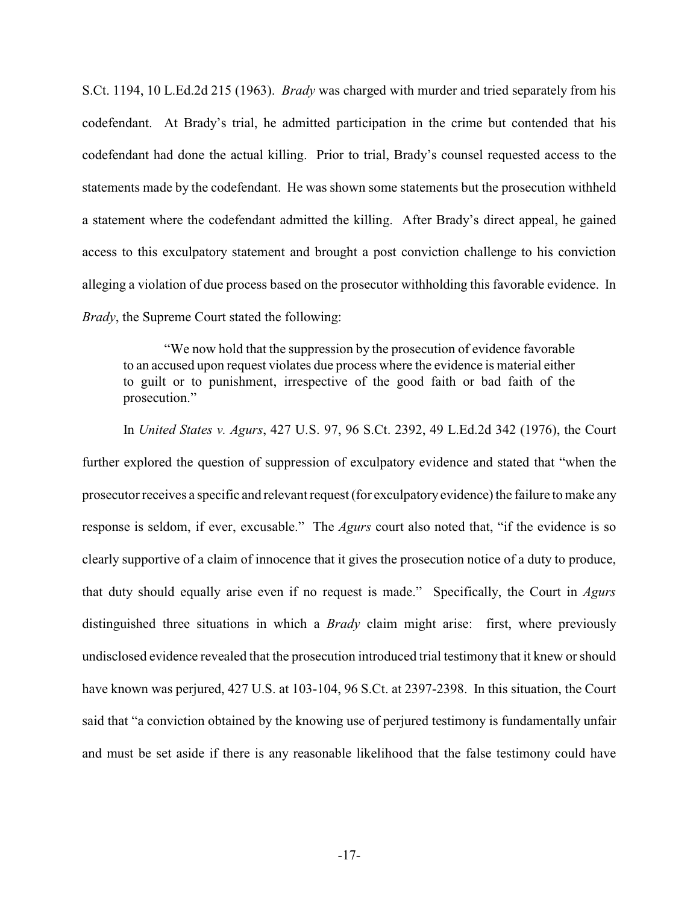S.Ct. 1194, 10 L.Ed.2d 215 (1963). *Brady* was charged with murder and tried separately from his codefendant. At Brady's trial, he admitted participation in the crime but contended that his codefendant had done the actual killing. Prior to trial, Brady's counsel requested access to the statements made by the codefendant. He was shown some statements but the prosecution withheld a statement where the codefendant admitted the killing. After Brady's direct appeal, he gained access to this exculpatory statement and brought a post conviction challenge to his conviction alleging a violation of due process based on the prosecutor withholding this favorable evidence. In *Brady*, the Supreme Court stated the following:

"We now hold that the suppression by the prosecution of evidence favorable to an accused upon request violates due process where the evidence is material either to guilt or to punishment, irrespective of the good faith or bad faith of the prosecution."

In *United States v. Agurs*, 427 U.S. 97, 96 S.Ct. 2392, 49 L.Ed.2d 342 (1976), the Court further explored the question of suppression of exculpatory evidence and stated that "when the prosecutor receives a specific and relevant request (for exculpatory evidence) the failure to make any response is seldom, if ever, excusable." The *Agurs* court also noted that, "if the evidence is so clearly supportive of a claim of innocence that it gives the prosecution notice of a duty to produce, that duty should equally arise even if no request is made." Specifically, the Court in *Agurs* distinguished three situations in which a *Brady* claim might arise: first, where previously undisclosed evidence revealed that the prosecution introduced trial testimony that it knew or should have known was perjured, 427 U.S. at 103-104, 96 S.Ct. at 2397-2398. In this situation, the Court said that "a conviction obtained by the knowing use of perjured testimony is fundamentally unfair and must be set aside if there is any reasonable likelihood that the false testimony could have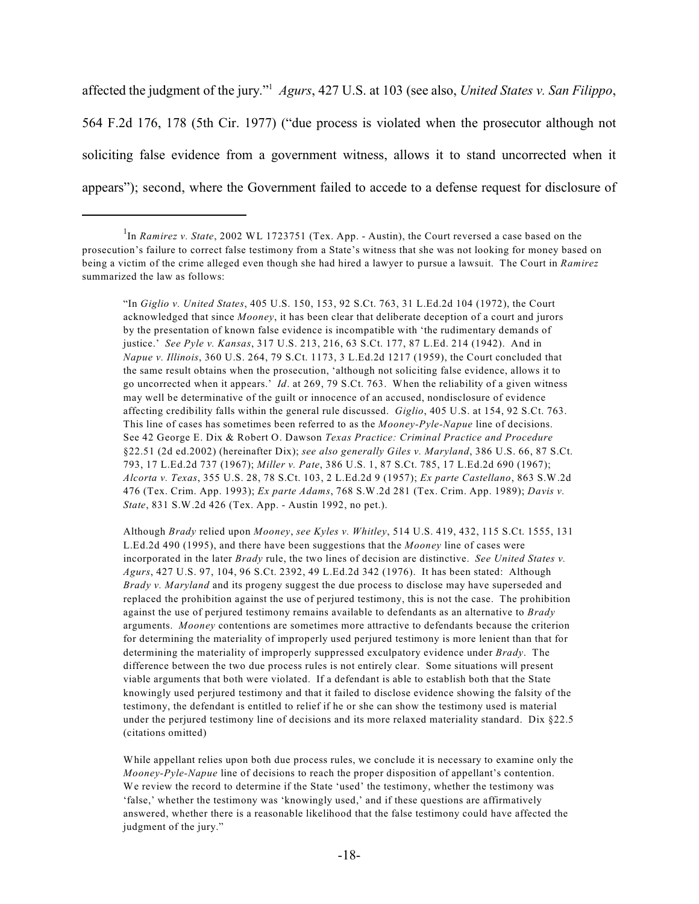affected the judgment of the jury."<sup>1</sup> *Agurs*, 427 U.S. at 103 (see also, *United States v. San Filippo*, 564 F.2d 176, 178 (5th Cir. 1977) ("due process is violated when the prosecutor although not soliciting false evidence from a government witness, allows it to stand uncorrected when it appears"); second, where the Government failed to accede to a defense request for disclosure of

"In *Giglio v. United States*, 405 U.S. 150, 153, 92 S.Ct. 763, 31 L.Ed.2d 104 (1972), the Court acknowledged that since *Mooney*, it has been clear that deliberate deception of a court and jurors by the presentation of known false evidence is incompatible with 'the rudimentary demands of justice.' *See Pyle v. Kansas*, 317 U.S. 213, 216, 63 S.Ct. 177, 87 L.Ed. 214 (1942). And in *Napue v. Illinois*, 360 U.S. 264, 79 S.Ct. 1173, 3 L.Ed.2d 1217 (1959), the Court concluded that the same result obtains when the prosecution, 'although not soliciting false evidence, allows it to go uncorrected when it appears.' *Id*. at 269, 79 S.Ct. 763. When the reliability of a given witness may well be determinative of the guilt or innocence of an accused, nondisclosure of evidence affecting credibility falls within the general rule discussed. *Giglio*, 405 U.S. at 154, 92 S.Ct. 763. This line of cases has sometimes been referred to as the *Mooney-Pyle-Napue* line of decisions. See 42 George E. Dix & Robert O. Dawson *Texas Practice: Criminal Practice and Procedure* §22.51 (2d ed.2002) (hereinafter Dix); *see also generally Giles v. Maryland*, 386 U.S. 66, 87 S.Ct. 793, 17 L.Ed.2d 737 (1967); *Miller v. Pate*, 386 U.S. 1, 87 S.Ct. 785, 17 L.Ed.2d 690 (1967); *Alcorta v. Texas*, 355 U.S. 28, 78 S.Ct. 103, 2 L.Ed.2d 9 (1957); *Ex parte Castellano*, 863 S.W.2d 476 (Tex. Crim. App. 1993); *Ex parte Adams*, 768 S.W.2d 281 (Tex. Crim. App. 1989); *Davis v. State*, 831 S.W.2d 426 (Tex. App. - Austin 1992, no pet.).

Although *Brady* relied upon *Mooney*, *see Kyles v. Whitley*, 514 U.S. 419, 432, 115 S.Ct. 1555, 131 L.Ed.2d 490 (1995), and there have been suggestions that the *Mooney* line of cases were incorporated in the later *Brady* rule, the two lines of decision are distinctive. *See United States v. Agurs*, 427 U.S. 97, 104, 96 S.Ct. 2392, 49 L.Ed.2d 342 (1976). It has been stated: Although *Brady v. Maryland* and its progeny suggest the due process to disclose may have superseded and replaced the prohibition against the use of perjured testimony, this is not the case. The prohibition against the use of perjured testimony remains available to defendants as an alternative to *Brady* arguments. *Mooney* contentions are sometimes more attractive to defendants because the criterion for determining the materiality of improperly used perjured testimony is more lenient than that for determining the materiality of improperly suppressed exculpatory evidence under *Brady*. The difference between the two due process rules is not entirely clear. Some situations will present viable arguments that both were violated. If a defendant is able to establish both that the State knowingly used perjured testimony and that it failed to disclose evidence showing the falsity of the testimony, the defendant is entitled to relief if he or she can show the testimony used is material under the perjured testimony line of decisions and its more relaxed materiality standard. Dix  $\S 22.5$ (citations omitted)

While appellant relies upon both due process rules, we conclude it is necessary to examine only the *Mooney-Pyle-Napue* line of decisions to reach the proper disposition of appellant's contention. We review the record to determine if the State 'used' the testimony, whether the testimony was 'false,' whether the testimony was 'knowingly used,' and if these questions are affirmatively answered, whether there is a reasonable likelihood that the false testimony could have affected the judgment of the jury."

<sup>&</sup>lt;sup>1</sup>In *Ramirez v. State*, 2002 WL 1723751 (Tex. App. - Austin), the Court reversed a case based on the prosecution's failure to correct false testimony from a State's witness that she was not looking for money based on being a victim of the crime alleged even though she had hired a lawyer to pursue a lawsuit. The Court in *Ramirez* summarized the law as follows: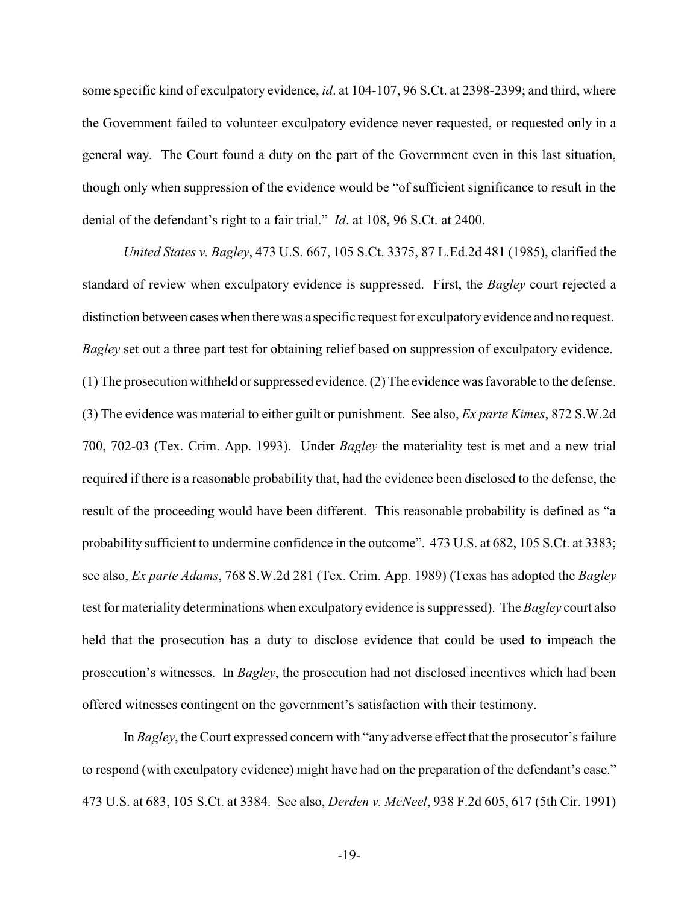some specific kind of exculpatory evidence, *id*. at 104-107, 96 S.Ct. at 2398-2399; and third, where the Government failed to volunteer exculpatory evidence never requested, or requested only in a general way. The Court found a duty on the part of the Government even in this last situation, though only when suppression of the evidence would be "of sufficient significance to result in the denial of the defendant's right to a fair trial." *Id*. at 108, 96 S.Ct. at 2400.

*United States v. Bagley*, 473 U.S. 667, 105 S.Ct. 3375, 87 L.Ed.2d 481 (1985), clarified the standard of review when exculpatory evidence is suppressed. First, the *Bagley* court rejected a distinction between cases when there was a specific request for exculpatoryevidence and no request. *Bagley* set out a three part test for obtaining relief based on suppression of exculpatory evidence. (1) The prosecution withheld or suppressed evidence. (2) The evidence was favorable to the defense. (3) The evidence was material to either guilt or punishment. See also, *Ex parte Kimes*, 872 S.W.2d 700, 702-03 (Tex. Crim. App. 1993). Under *Bagley* the materiality test is met and a new trial required if there is a reasonable probability that, had the evidence been disclosed to the defense, the result of the proceeding would have been different. This reasonable probability is defined as "a probability sufficient to undermine confidence in the outcome". 473 U.S. at 682, 105 S.Ct. at 3383; see also, *Ex parte Adams*, 768 S.W.2d 281 (Tex. Crim. App. 1989) (Texas has adopted the *Bagley* test for materiality determinations when exculpatory evidence is suppressed). The *Bagley* court also held that the prosecution has a duty to disclose evidence that could be used to impeach the prosecution's witnesses. In *Bagley*, the prosecution had not disclosed incentives which had been offered witnesses contingent on the government's satisfaction with their testimony.

In *Bagley*, the Court expressed concern with "any adverse effect that the prosecutor's failure to respond (with exculpatory evidence) might have had on the preparation of the defendant's case." 473 U.S. at 683, 105 S.Ct. at 3384. See also, *Derden v. McNeel*, 938 F.2d 605, 617 (5th Cir. 1991)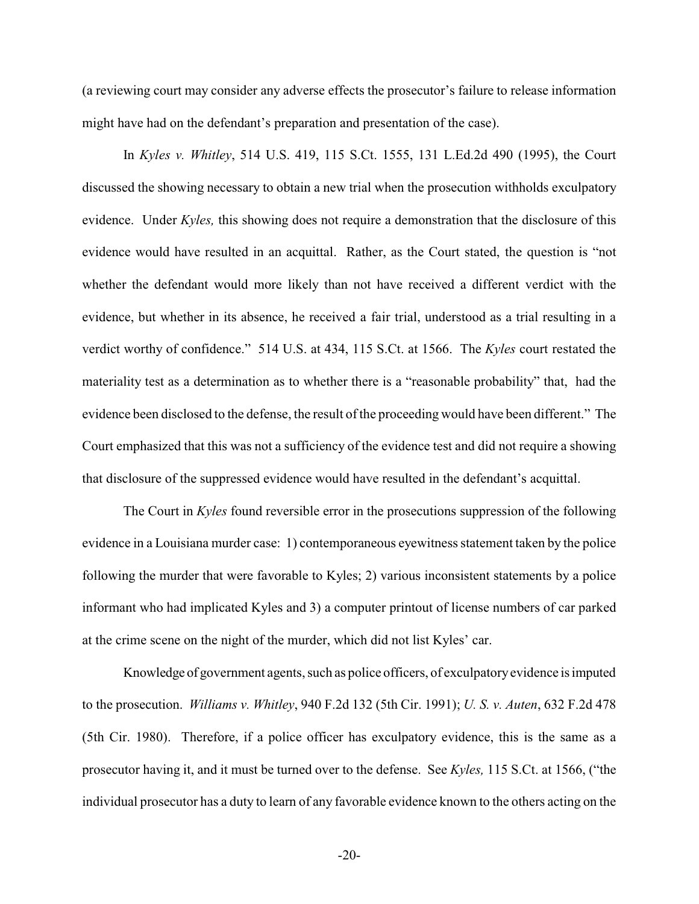(a reviewing court may consider any adverse effects the prosecutor's failure to release information might have had on the defendant's preparation and presentation of the case).

In *Kyles v. Whitley*, 514 U.S. 419, 115 S.Ct. 1555, 131 L.Ed.2d 490 (1995), the Court discussed the showing necessary to obtain a new trial when the prosecution withholds exculpatory evidence. Under *Kyles,* this showing does not require a demonstration that the disclosure of this evidence would have resulted in an acquittal. Rather, as the Court stated, the question is "not whether the defendant would more likely than not have received a different verdict with the evidence, but whether in its absence, he received a fair trial, understood as a trial resulting in a verdict worthy of confidence." 514 U.S. at 434, 115 S.Ct. at 1566. The *Kyles* court restated the materiality test as a determination as to whether there is a "reasonable probability" that, had the evidence been disclosed to the defense, the result of the proceeding would have been different." The Court emphasized that this was not a sufficiency of the evidence test and did not require a showing that disclosure of the suppressed evidence would have resulted in the defendant's acquittal.

The Court in *Kyles* found reversible error in the prosecutions suppression of the following evidence in a Louisiana murder case: 1) contemporaneous eyewitness statement taken by the police following the murder that were favorable to Kyles; 2) various inconsistent statements by a police informant who had implicated Kyles and 3) a computer printout of license numbers of car parked at the crime scene on the night of the murder, which did not list Kyles' car.

Knowledge of government agents, such as police officers, of exculpatoryevidence isimputed to the prosecution. *Williams v. Whitley*, 940 F.2d 132 (5th Cir. 1991); *U. S. v. Auten*, 632 F.2d 478 (5th Cir. 1980). Therefore, if a police officer has exculpatory evidence, this is the same as a prosecutor having it, and it must be turned over to the defense. See *Kyles,* 115 S.Ct. at 1566, ("the individual prosecutor has a duty to learn of any favorable evidence known to the others acting on the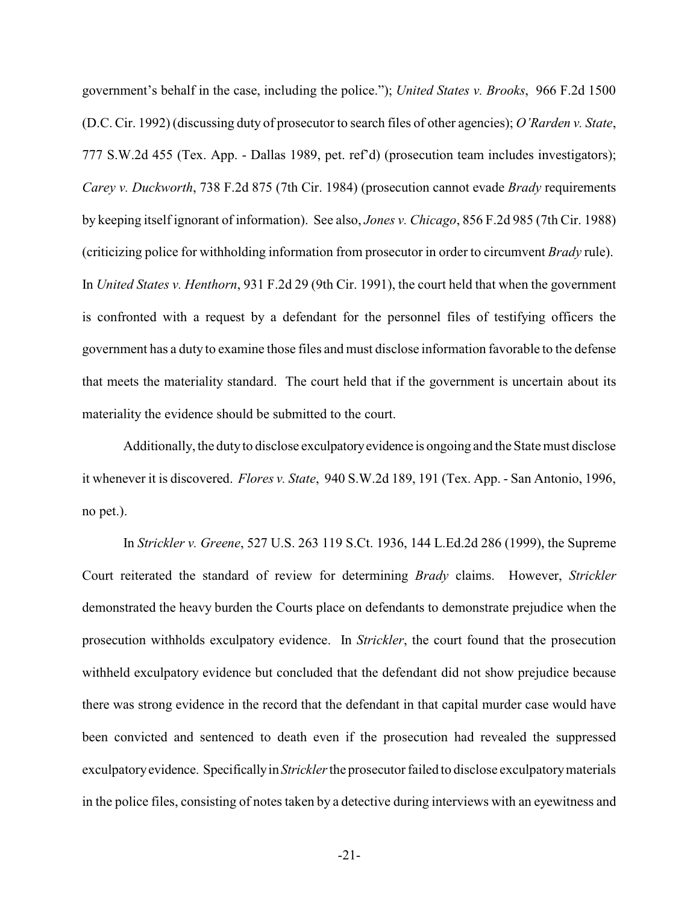government's behalf in the case, including the police."); *United States v. Brooks*, 966 F.2d 1500 (D.C. Cir. 1992) (discussing duty of prosecutor to search files of other agencies); *O'Rarden v. State*, 777 S.W.2d 455 (Tex. App. - Dallas 1989, pet. ref'd) (prosecution team includes investigators); *Carey v. Duckworth*, 738 F.2d 875 (7th Cir. 1984) (prosecution cannot evade *Brady* requirements by keeping itself ignorant of information). See also, *Jones v. Chicago*, 856 F.2d 985 (7th Cir. 1988) (criticizing police for withholding information from prosecutor in order to circumvent *Brady* rule). In *United States v. Henthorn*, 931 F.2d 29 (9th Cir. 1991), the court held that when the government is confronted with a request by a defendant for the personnel files of testifying officers the government has a duty to examine those files and must disclose information favorable to the defense that meets the materiality standard. The court held that if the government is uncertain about its materiality the evidence should be submitted to the court.

Additionally, the dutyto disclose exculpatoryevidence is ongoing and the State must disclose it whenever it is discovered. *Flores v. State*, 940 S.W.2d 189, 191 (Tex. App. - San Antonio, 1996, no pet.).

In *Strickler v. Greene*, 527 U.S. 263 119 S.Ct. 1936, 144 L.Ed.2d 286 (1999), the Supreme Court reiterated the standard of review for determining *Brady* claims. However, *Strickler* demonstrated the heavy burden the Courts place on defendants to demonstrate prejudice when the prosecution withholds exculpatory evidence. In *Strickler*, the court found that the prosecution withheld exculpatory evidence but concluded that the defendant did not show prejudice because there was strong evidence in the record that the defendant in that capital murder case would have been convicted and sentenced to death even if the prosecution had revealed the suppressed exculpatoryevidence. Specificallyin *Strickler*the prosecutor failed to disclose exculpatorymaterials in the police files, consisting of notes taken by a detective during interviews with an eyewitness and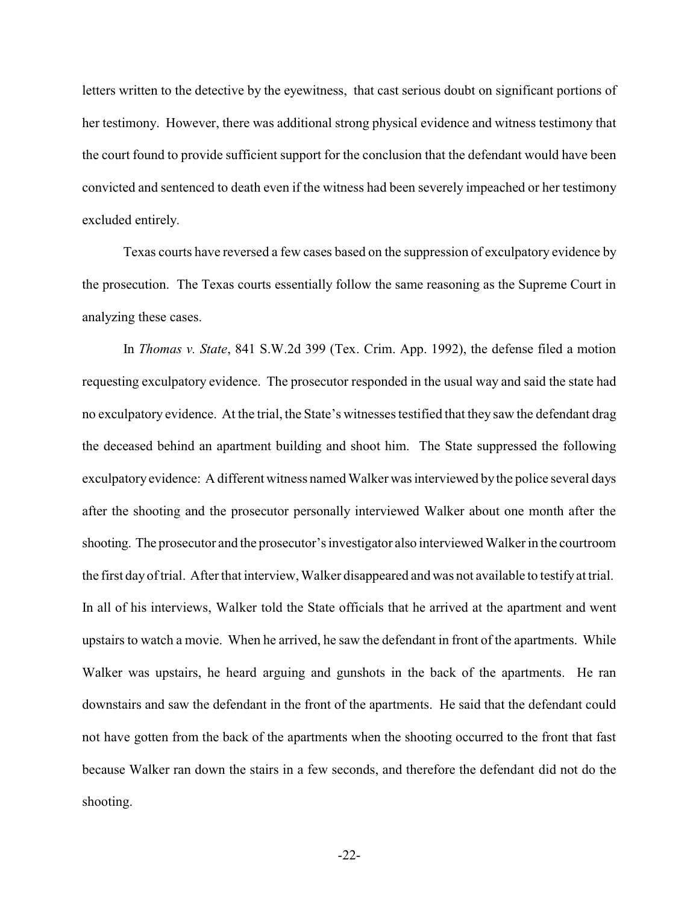letters written to the detective by the eyewitness, that cast serious doubt on significant portions of her testimony. However, there was additional strong physical evidence and witness testimony that the court found to provide sufficient support for the conclusion that the defendant would have been convicted and sentenced to death even if the witness had been severely impeached or her testimony excluded entirely.

Texas courts have reversed a few cases based on the suppression of exculpatory evidence by the prosecution. The Texas courts essentially follow the same reasoning as the Supreme Court in analyzing these cases.

In *Thomas v. State*, 841 S.W.2d 399 (Tex. Crim. App. 1992), the defense filed a motion requesting exculpatory evidence. The prosecutor responded in the usual way and said the state had no exculpatory evidence. At the trial, the State's witnesses testified that they saw the defendant drag the deceased behind an apartment building and shoot him. The State suppressed the following exculpatory evidence: A different witness named Walker was interviewed bythe police several days after the shooting and the prosecutor personally interviewed Walker about one month after the shooting. The prosecutor and the prosecutor's investigator also interviewed Walker in the courtroom the first day of trial. Afterthat interview,Walker disappeared and was not available to testify at trial. In all of his interviews, Walker told the State officials that he arrived at the apartment and went upstairs to watch a movie. When he arrived, he saw the defendant in front of the apartments. While Walker was upstairs, he heard arguing and gunshots in the back of the apartments. He ran downstairs and saw the defendant in the front of the apartments. He said that the defendant could not have gotten from the back of the apartments when the shooting occurred to the front that fast because Walker ran down the stairs in a few seconds, and therefore the defendant did not do the shooting.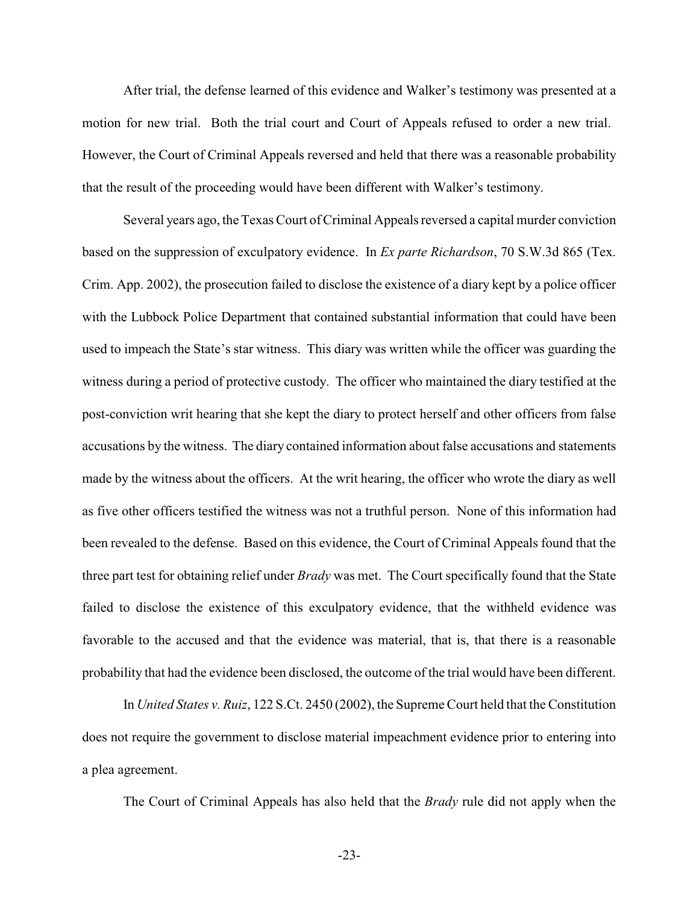After trial, the defense learned of this evidence and Walker's testimony was presented at a motion for new trial. Both the trial court and Court of Appeals refused to order a new trial. However, the Court of Criminal Appeals reversed and held that there was a reasonable probability that the result of the proceeding would have been different with Walker's testimony.

Several years ago, the Texas Court of Criminal Appeals reversed a capital murder conviction based on the suppression of exculpatory evidence. In *Ex parte Richardson*, 70 S.W.3d 865 (Tex. Crim. App. 2002), the prosecution failed to disclose the existence of a diary kept by a police officer with the Lubbock Police Department that contained substantial information that could have been used to impeach the State's star witness. This diary was written while the officer was guarding the witness during a period of protective custody. The officer who maintained the diary testified at the post-conviction writ hearing that she kept the diary to protect herself and other officers from false accusations by the witness. The diary contained information about false accusations and statements made by the witness about the officers. At the writ hearing, the officer who wrote the diary as well as five other officers testified the witness was not a truthful person. None of this information had been revealed to the defense. Based on this evidence, the Court of Criminal Appeals found that the three part test for obtaining relief under *Brady* was met. The Court specifically found that the State failed to disclose the existence of this exculpatory evidence, that the withheld evidence was favorable to the accused and that the evidence was material, that is, that there is a reasonable probability that had the evidence been disclosed, the outcome of the trial would have been different.

In *United States v. Ruiz*, 122 S.Ct. 2450 (2002), the Supreme Court held that the Constitution does not require the government to disclose material impeachment evidence prior to entering into a plea agreement.

The Court of Criminal Appeals has also held that the *Brady* rule did not apply when the

-23-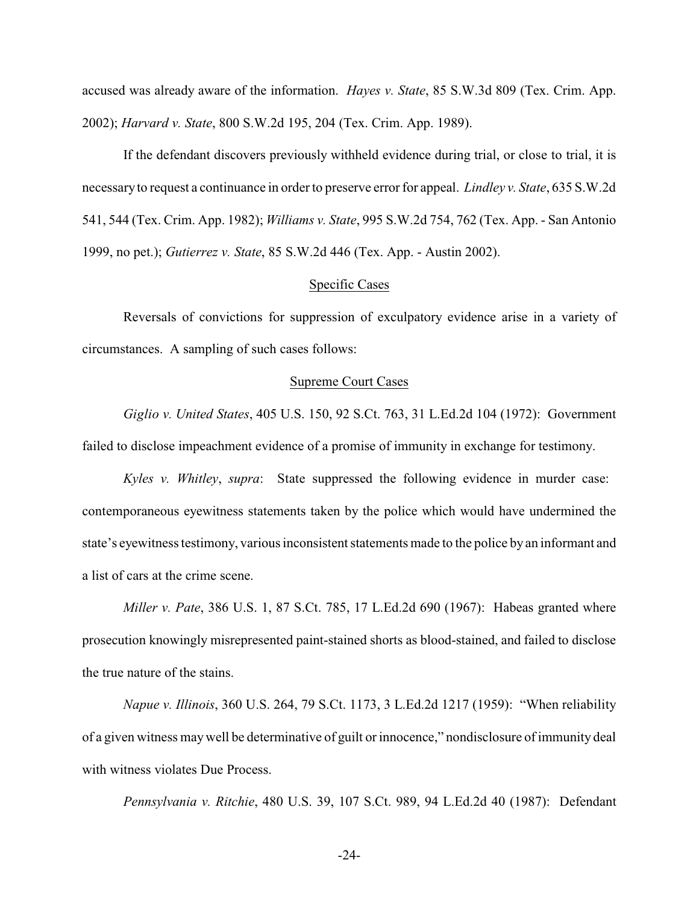accused was already aware of the information. *Hayes v. State*, 85 S.W.3d 809 (Tex. Crim. App. 2002); *Harvard v. State*, 800 S.W.2d 195, 204 (Tex. Crim. App. 1989).

If the defendant discovers previously withheld evidence during trial, or close to trial, it is necessaryto request a continuance in orderto preserve error for appeal. *Lindley v. State*, 635 S.W.2d 541, 544 (Tex. Crim. App. 1982); *Williams v. State*, 995 S.W.2d 754, 762 (Tex. App. - San Antonio 1999, no pet.); *Gutierrez v. State*, 85 S.W.2d 446 (Tex. App. - Austin 2002).

### Specific Cases

Reversals of convictions for suppression of exculpatory evidence arise in a variety of circumstances. A sampling of such cases follows:

#### Supreme Court Cases

*Giglio v. United States*, 405 U.S. 150, 92 S.Ct. 763, 31 L.Ed.2d 104 (1972): Government failed to disclose impeachment evidence of a promise of immunity in exchange for testimony.

*Kyles v. Whitley*, *supra*: State suppressed the following evidence in murder case: contemporaneous eyewitness statements taken by the police which would have undermined the state's eyewitness testimony, various inconsistent statements made to the police by an informant and a list of cars at the crime scene.

*Miller v. Pate*, 386 U.S. 1, 87 S.Ct. 785, 17 L.Ed.2d 690 (1967): Habeas granted where prosecution knowingly misrepresented paint-stained shorts as blood-stained, and failed to disclose the true nature of the stains.

*Napue v. Illinois*, 360 U.S. 264, 79 S.Ct. 1173, 3 L.Ed.2d 1217 (1959): "When reliability of a given witness maywell be determinative of guilt or innocence," nondisclosure of immunity deal with witness violates Due Process.

*Pennsylvania v. Ritchie*, 480 U.S. 39, 107 S.Ct. 989, 94 L.Ed.2d 40 (1987): Defendant

-24-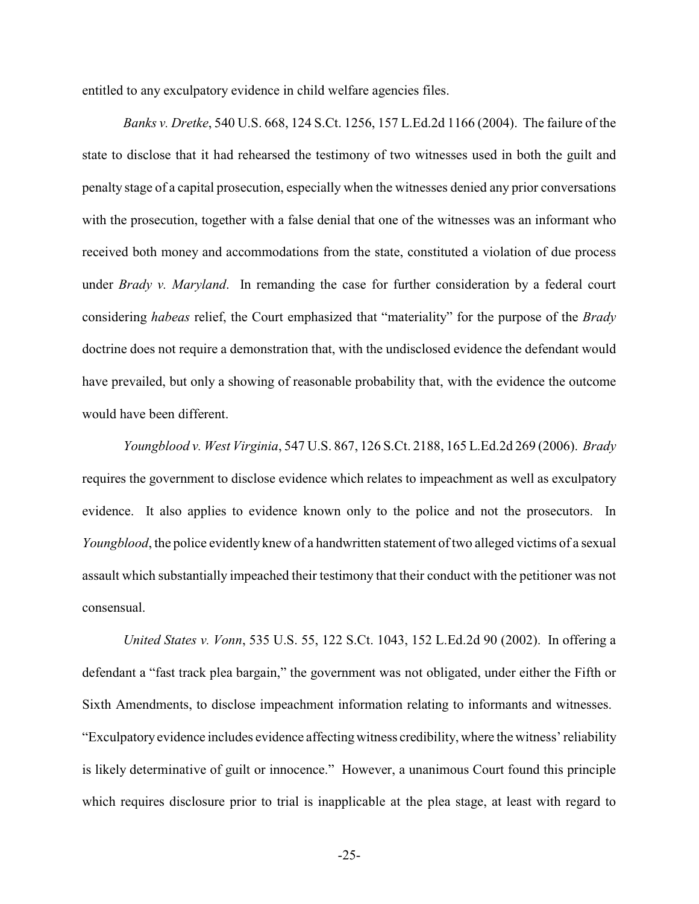entitled to any exculpatory evidence in child welfare agencies files.

*Banks v. Dretke*, 540 U.S. 668, 124 S.Ct. 1256, 157 L.Ed.2d 1166 (2004). The failure of the state to disclose that it had rehearsed the testimony of two witnesses used in both the guilt and penalty stage of a capital prosecution, especially when the witnesses denied any prior conversations with the prosecution, together with a false denial that one of the witnesses was an informant who received both money and accommodations from the state, constituted a violation of due process under *Brady v. Maryland*. In remanding the case for further consideration by a federal court considering *habeas* relief, the Court emphasized that "materiality" for the purpose of the *Brady* doctrine does not require a demonstration that, with the undisclosed evidence the defendant would have prevailed, but only a showing of reasonable probability that, with the evidence the outcome would have been different.

*Youngblood v. West Virginia*, 547 U.S. 867, 126 S.Ct. 2188, 165 L.Ed.2d 269 (2006). *Brady* requires the government to disclose evidence which relates to impeachment as well as exculpatory evidence. It also applies to evidence known only to the police and not the prosecutors. In *Youngblood*, the police evidently knew of a handwritten statement of two alleged victims of a sexual assault which substantially impeached their testimony that their conduct with the petitioner was not consensual.

*United States v. Vonn*, 535 U.S. 55, 122 S.Ct. 1043, 152 L.Ed.2d 90 (2002). In offering a defendant a "fast track plea bargain," the government was not obligated, under either the Fifth or Sixth Amendments, to disclose impeachment information relating to informants and witnesses. "Exculpatory evidence includes evidence affectingwitness credibility, where the witness' reliability is likely determinative of guilt or innocence." However, a unanimous Court found this principle which requires disclosure prior to trial is inapplicable at the plea stage, at least with regard to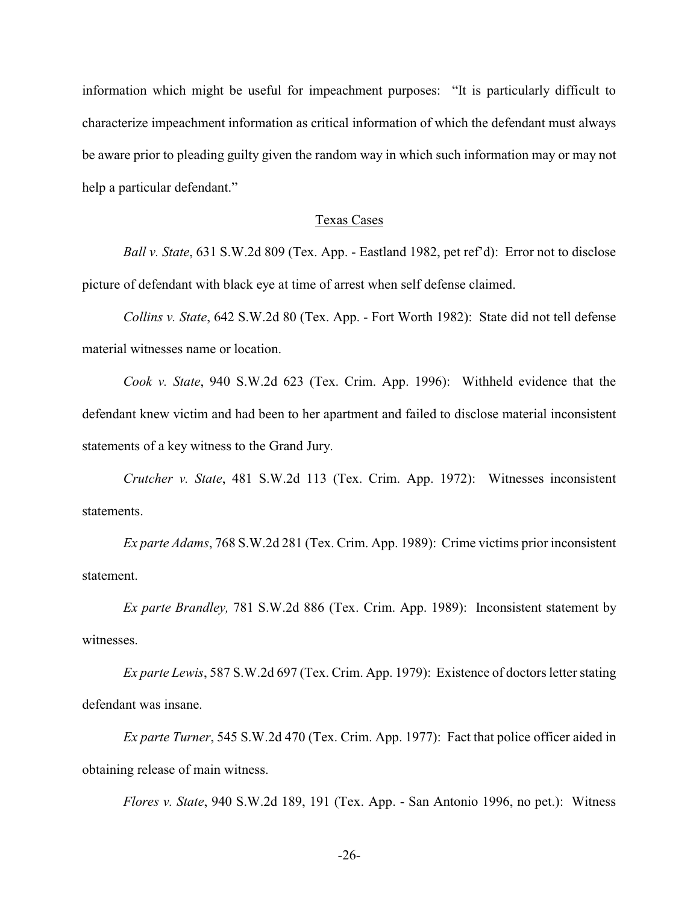information which might be useful for impeachment purposes: "It is particularly difficult to characterize impeachment information as critical information of which the defendant must always be aware prior to pleading guilty given the random way in which such information may or may not help a particular defendant."

### Texas Cases

*Ball v. State*, 631 S.W.2d 809 (Tex. App. - Eastland 1982, pet ref'd): Error not to disclose picture of defendant with black eye at time of arrest when self defense claimed.

*Collins v. State*, 642 S.W.2d 80 (Tex. App. - Fort Worth 1982): State did not tell defense material witnesses name or location.

*Cook v. State*, 940 S.W.2d 623 (Tex. Crim. App. 1996): Withheld evidence that the defendant knew victim and had been to her apartment and failed to disclose material inconsistent statements of a key witness to the Grand Jury.

*Crutcher v. State*, 481 S.W.2d 113 (Tex. Crim. App. 1972): Witnesses inconsistent statements.

*Ex parte Adams*, 768 S.W.2d 281 (Tex. Crim. App. 1989): Crime victims prior inconsistent statement.

*Ex parte Brandley,* 781 S.W.2d 886 (Tex. Crim. App. 1989): Inconsistent statement by witnesses.

*Ex parte Lewis*, 587 S.W.2d 697 (Tex. Crim. App. 1979): Existence of doctors letter stating defendant was insane.

*Ex parte Turner*, 545 S.W.2d 470 (Tex. Crim. App. 1977): Fact that police officer aided in obtaining release of main witness.

*Flores v. State*, 940 S.W.2d 189, 191 (Tex. App. - San Antonio 1996, no pet.): Witness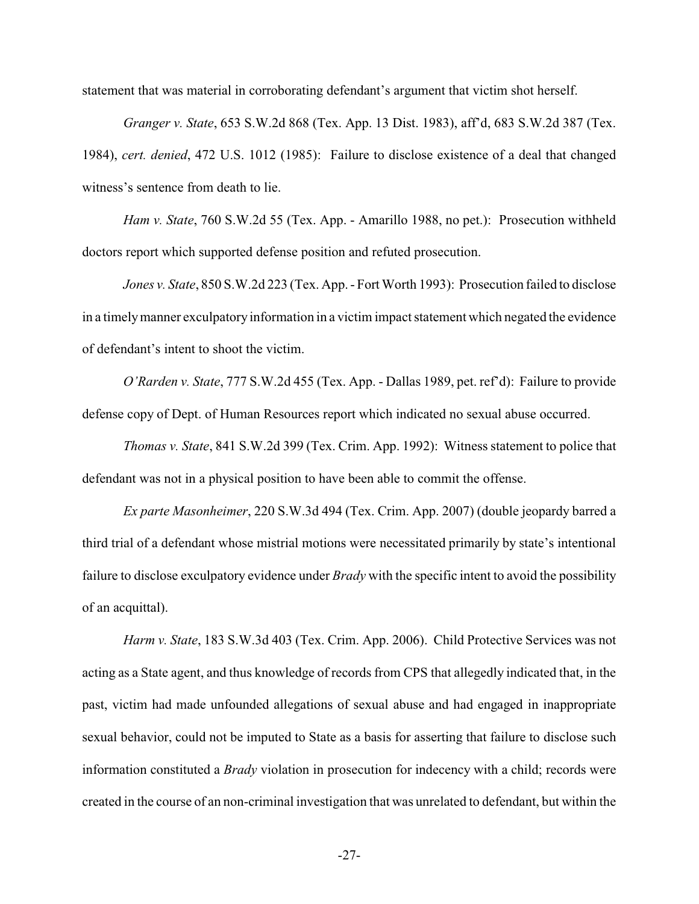statement that was material in corroborating defendant's argument that victim shot herself.

*Granger v. State*, 653 S.W.2d 868 (Tex. App. 13 Dist. 1983), aff'd, 683 S.W.2d 387 (Tex. 1984), *cert. denied*, 472 U.S. 1012 (1985): Failure to disclose existence of a deal that changed witness's sentence from death to lie.

*Ham v. State*, 760 S.W.2d 55 (Tex. App. - Amarillo 1988, no pet.): Prosecution withheld doctors report which supported defense position and refuted prosecution.

*Jones v. State*, 850 S.W.2d 223 (Tex. App. - Fort Worth 1993): Prosecution failed to disclose in a timelymanner exculpatory information in a victim impact statement which negated the evidence of defendant's intent to shoot the victim.

*O'Rarden v. State*, 777 S.W.2d 455 (Tex. App. - Dallas 1989, pet. ref'd): Failure to provide defense copy of Dept. of Human Resources report which indicated no sexual abuse occurred.

*Thomas v. State*, 841 S.W.2d 399 (Tex. Crim. App. 1992): Witness statement to police that defendant was not in a physical position to have been able to commit the offense.

*Ex parte Masonheimer*, 220 S.W.3d 494 (Tex. Crim. App. 2007) (double jeopardy barred a third trial of a defendant whose mistrial motions were necessitated primarily by state's intentional failure to disclose exculpatory evidence under *Brady* with the specific intent to avoid the possibility of an acquittal).

*Harm v. State*, 183 S.W.3d 403 (Tex. Crim. App. 2006). Child Protective Services was not acting as a State agent, and thus knowledge of records from CPS that allegedly indicated that, in the past, victim had made unfounded allegations of sexual abuse and had engaged in inappropriate sexual behavior, could not be imputed to State as a basis for asserting that failure to disclose such information constituted a *Brady* violation in prosecution for indecency with a child; records were created in the course of an non-criminal investigation that was unrelated to defendant, but within the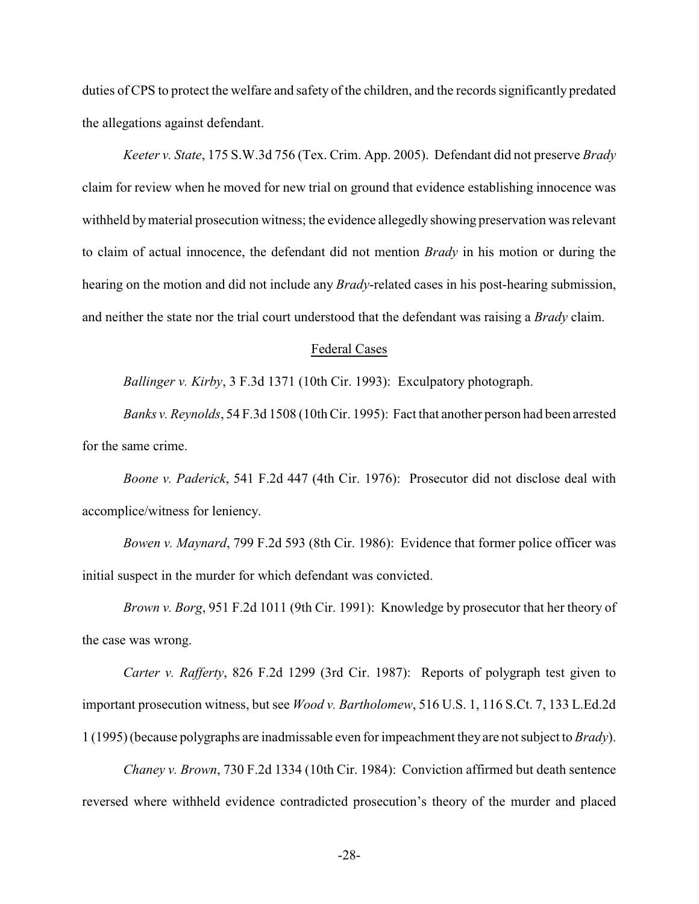duties of CPS to protect the welfare and safety of the children, and the records significantly predated the allegations against defendant.

*Keeter v. State*, 175 S.W.3d 756 (Tex. Crim. App. 2005). Defendant did not preserve *Brady* claim for review when he moved for new trial on ground that evidence establishing innocence was withheld bymaterial prosecution witness; the evidence allegedly showing preservation was relevant to claim of actual innocence, the defendant did not mention *Brady* in his motion or during the hearing on the motion and did not include any *Brady*-related cases in his post-hearing submission, and neither the state nor the trial court understood that the defendant was raising a *Brady* claim.

#### Federal Cases

*Ballinger v. Kirby*, 3 F.3d 1371 (10th Cir. 1993): Exculpatory photograph.

*Banks v. Reynolds*, 54 F.3d 1508 (10thCir. 1995): Fact that another person had been arrested for the same crime.

*Boone v. Paderick*, 541 F.2d 447 (4th Cir. 1976): Prosecutor did not disclose deal with accomplice/witness for leniency.

*Bowen v. Maynard*, 799 F.2d 593 (8th Cir. 1986): Evidence that former police officer was initial suspect in the murder for which defendant was convicted.

*Brown v. Borg*, 951 F.2d 1011 (9th Cir. 1991): Knowledge by prosecutor that her theory of the case was wrong.

*Carter v. Rafferty*, 826 F.2d 1299 (3rd Cir. 1987): Reports of polygraph test given to important prosecution witness, but see *Wood v. Bartholomew*, 516 U.S. 1, 116 S.Ct. 7, 133 L.Ed.2d 1 (1995) (because polygraphs are inadmissable even for impeachment theyare not subject to *Brady*).

*Chaney v. Brown*, 730 F.2d 1334 (10th Cir. 1984): Conviction affirmed but death sentence reversed where withheld evidence contradicted prosecution's theory of the murder and placed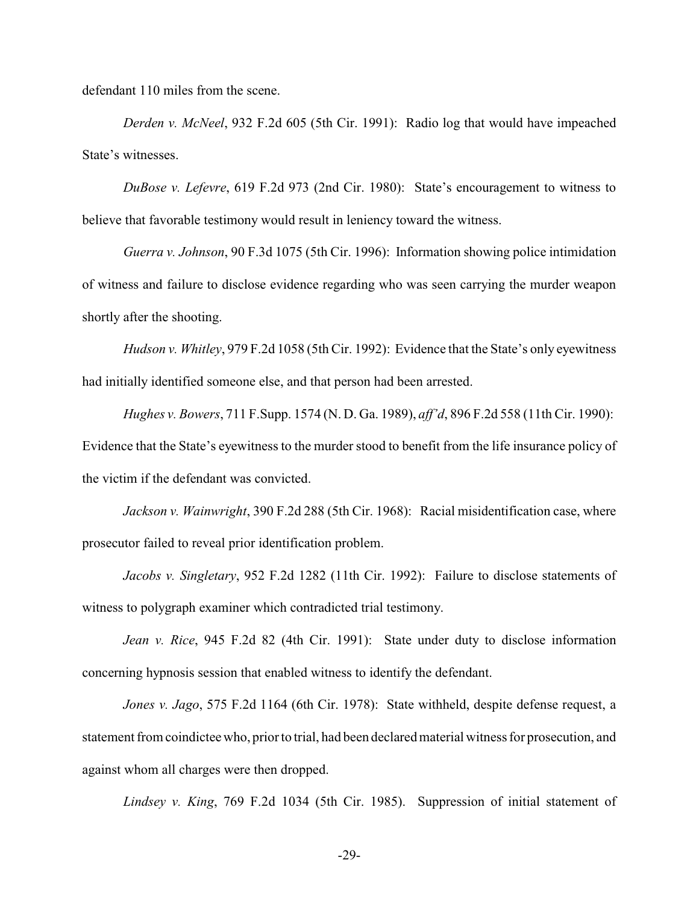defendant 110 miles from the scene.

*Derden v. McNeel*, 932 F.2d 605 (5th Cir. 1991): Radio log that would have impeached State's witnesses.

*DuBose v. Lefevre*, 619 F.2d 973 (2nd Cir. 1980): State's encouragement to witness to believe that favorable testimony would result in leniency toward the witness.

*Guerra v. Johnson*, 90 F.3d 1075 (5th Cir. 1996): Information showing police intimidation of witness and failure to disclose evidence regarding who was seen carrying the murder weapon shortly after the shooting.

*Hudson v. Whitley*, 979 F.2d 1058 (5th Cir. 1992): Evidence that the State's only eyewitness had initially identified someone else, and that person had been arrested.

*Hughes v. Bowers*, 711 F.Supp. 1574 (N. D. Ga. 1989), *aff'd*, 896 F.2d 558 (11th Cir. 1990): Evidence that the State's eyewitness to the murder stood to benefit from the life insurance policy of the victim if the defendant was convicted.

*Jackson v. Wainwright*, 390 F.2d 288 (5th Cir. 1968): Racial misidentification case, where prosecutor failed to reveal prior identification problem.

*Jacobs v. Singletary*, 952 F.2d 1282 (11th Cir. 1992): Failure to disclose statements of witness to polygraph examiner which contradicted trial testimony.

*Jean v. Rice*, 945 F.2d 82 (4th Cir. 1991): State under duty to disclose information concerning hypnosis session that enabled witness to identify the defendant.

*Jones v. Jago*, 575 F.2d 1164 (6th Cir. 1978): State withheld, despite defense request, a statement from coindictee who, prior to trial, had been declared material witness for prosecution, and against whom all charges were then dropped.

*Lindsey v. King*, 769 F.2d 1034 (5th Cir. 1985). Suppression of initial statement of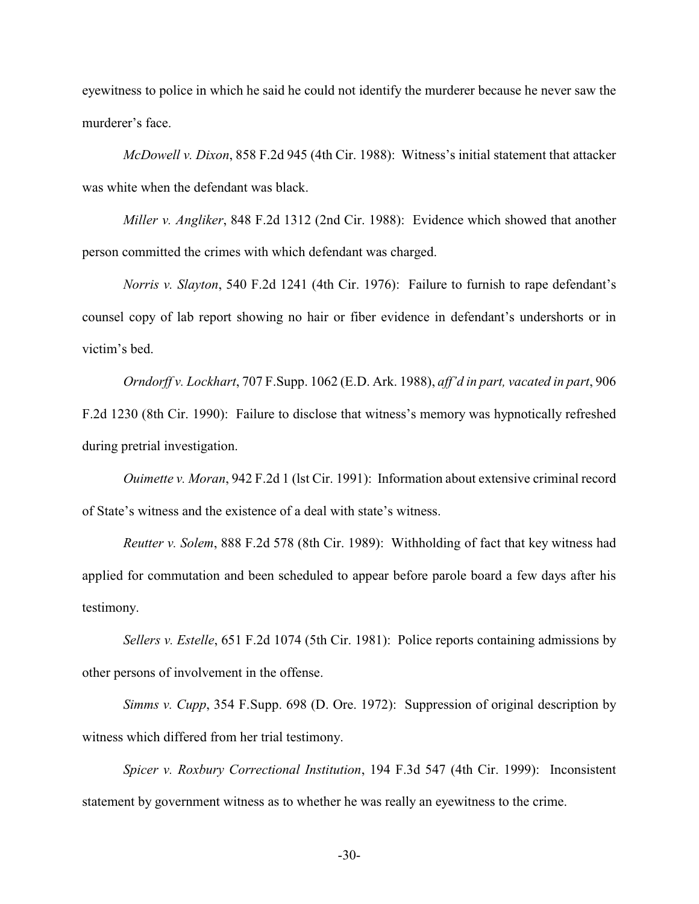eyewitness to police in which he said he could not identify the murderer because he never saw the murderer's face.

*McDowell v. Dixon*, 858 F.2d 945 (4th Cir. 1988): Witness's initial statement that attacker was white when the defendant was black.

*Miller v. Angliker*, 848 F.2d 1312 (2nd Cir. 1988): Evidence which showed that another person committed the crimes with which defendant was charged.

*Norris v. Slayton*, 540 F.2d 1241 (4th Cir. 1976): Failure to furnish to rape defendant's counsel copy of lab report showing no hair or fiber evidence in defendant's undershorts or in victim's bed.

*Orndorff v. Lockhart*, 707 F.Supp. 1062 (E.D. Ark. 1988), *aff'd in part, vacated in part*, 906 F.2d 1230 (8th Cir. 1990): Failure to disclose that witness's memory was hypnotically refreshed during pretrial investigation.

*Ouimette v. Moran*, 942 F.2d 1 (lst Cir. 1991): Information about extensive criminal record of State's witness and the existence of a deal with state's witness.

*Reutter v. Solem*, 888 F.2d 578 (8th Cir. 1989): Withholding of fact that key witness had applied for commutation and been scheduled to appear before parole board a few days after his testimony.

*Sellers v. Estelle*, 651 F.2d 1074 (5th Cir. 1981): Police reports containing admissions by other persons of involvement in the offense.

*Simms v. Cupp*, 354 F.Supp. 698 (D. Ore. 1972): Suppression of original description by witness which differed from her trial testimony.

*Spicer v. Roxbury Correctional Institution*, 194 F.3d 547 (4th Cir. 1999): Inconsistent statement by government witness as to whether he was really an eyewitness to the crime.

-30-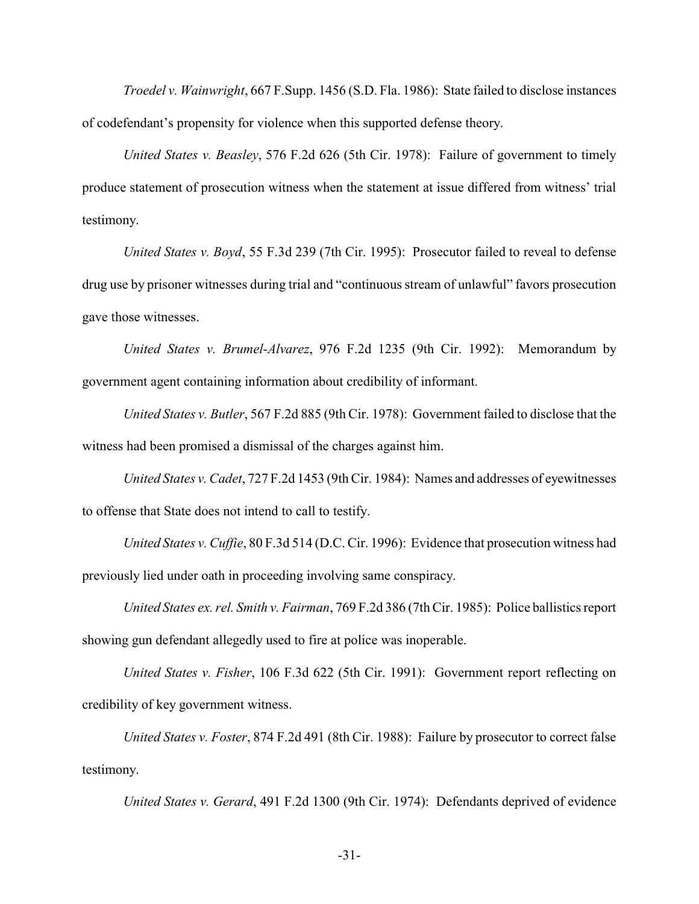*Troedel v. Wainwright*, 667 F.Supp. 1456 (S.D. Fla. 1986): State failed to disclose instances of codefendant's propensity for violence when this supported defense theory.

*United States v. Beasley*, 576 F.2d 626 (5th Cir. 1978): Failure of government to timely produce statement of prosecution witness when the statement at issue differed from witness' trial testimony.

*United States v. Boyd*, 55 F.3d 239 (7th Cir. 1995): Prosecutor failed to reveal to defense drug use by prisoner witnesses during trial and "continuous stream of unlawful" favors prosecution gave those witnesses.

*United States v. Brumel-Alvarez*, 976 F.2d 1235 (9th Cir. 1992): Memorandum by government agent containing information about credibility of informant.

*United States v. Butler*, 567 F.2d 885 (9th Cir. 1978): Government failed to disclose that the witness had been promised a dismissal of the charges against him.

*United States v. Cadet*, 727 F.2d 1453 (9th Cir. 1984): Names and addresses of eyewitnesses to offense that State does not intend to call to testify.

*United States v. Cuffie*, 80 F.3d 514 (D.C. Cir. 1996): Evidence that prosecution witness had previously lied under oath in proceeding involving same conspiracy.

*United States ex. rel. Smith v. Fairman*, 769 F.2d 386 (7th Cir. 1985): Police ballistics report showing gun defendant allegedly used to fire at police was inoperable.

*United States v. Fisher*, 106 F.3d 622 (5th Cir. 1991): Government report reflecting on credibility of key government witness.

*United States v. Foster*, 874 F.2d 491 (8th Cir. 1988): Failure by prosecutor to correct false testimony.

*United States v. Gerard*, 491 F.2d 1300 (9th Cir. 1974): Defendants deprived of evidence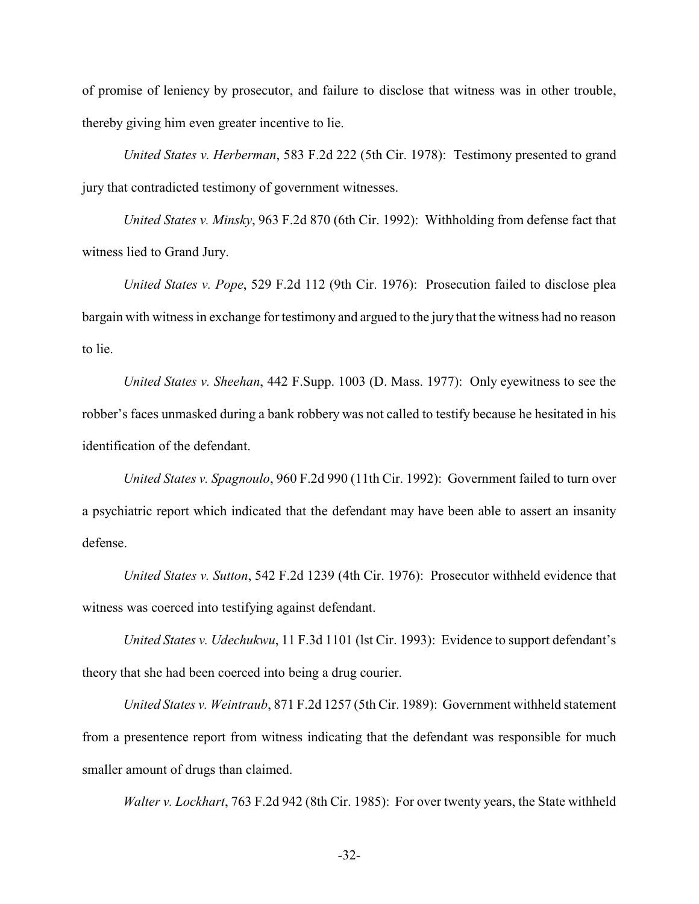of promise of leniency by prosecutor, and failure to disclose that witness was in other trouble, thereby giving him even greater incentive to lie.

*United States v. Herberman*, 583 F.2d 222 (5th Cir. 1978): Testimony presented to grand jury that contradicted testimony of government witnesses.

*United States v. Minsky*, 963 F.2d 870 (6th Cir. 1992): Withholding from defense fact that witness lied to Grand Jury.

*United States v. Pope*, 529 F.2d 112 (9th Cir. 1976): Prosecution failed to disclose plea bargain with witness in exchange for testimony and argued to the jury that the witness had no reason to lie.

*United States v. Sheehan*, 442 F.Supp. 1003 (D. Mass. 1977): Only eyewitness to see the robber's faces unmasked during a bank robbery was not called to testify because he hesitated in his identification of the defendant.

*United States v. Spagnoulo*, 960 F.2d 990 (11th Cir. 1992): Government failed to turn over a psychiatric report which indicated that the defendant may have been able to assert an insanity defense.

*United States v. Sutton*, 542 F.2d 1239 (4th Cir. 1976): Prosecutor withheld evidence that witness was coerced into testifying against defendant.

*United States v. Udechukwu*, 11 F.3d 1101 (lst Cir. 1993): Evidence to support defendant's theory that she had been coerced into being a drug courier.

*United States v. Weintraub*, 871 F.2d 1257 (5th Cir. 1989): Government withheld statement from a presentence report from witness indicating that the defendant was responsible for much smaller amount of drugs than claimed.

*Walter v. Lockhart*, 763 F.2d 942 (8th Cir. 1985): For over twenty years, the State withheld

-32-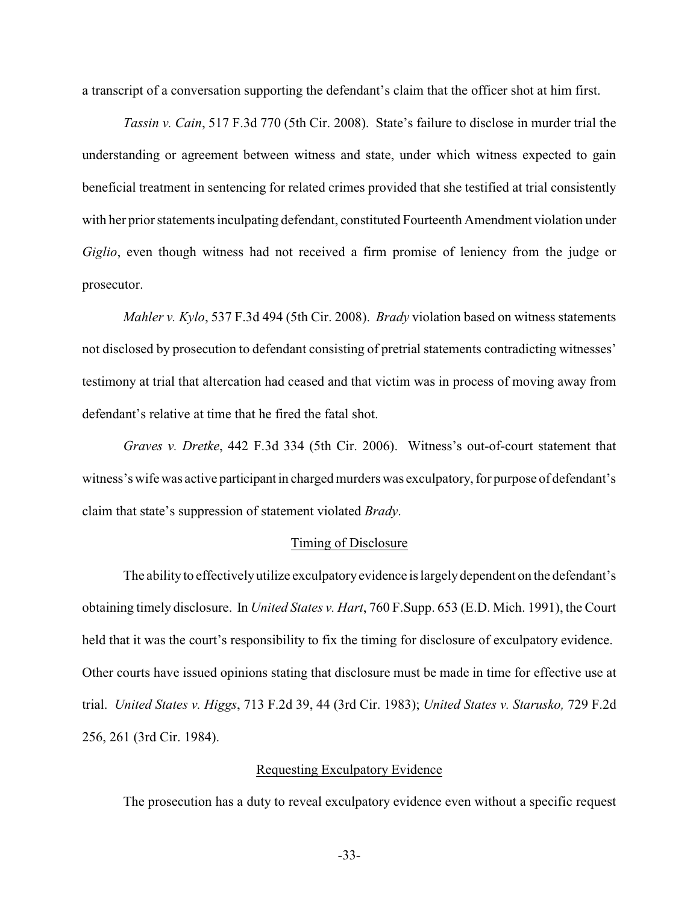a transcript of a conversation supporting the defendant's claim that the officer shot at him first.

*Tassin v. Cain*, 517 F.3d 770 (5th Cir. 2008). State's failure to disclose in murder trial the understanding or agreement between witness and state, under which witness expected to gain beneficial treatment in sentencing for related crimes provided that she testified at trial consistently with her prior statements inculpating defendant, constituted Fourteenth Amendment violation under *Giglio*, even though witness had not received a firm promise of leniency from the judge or prosecutor.

*Mahler v. Kylo*, 537 F.3d 494 (5th Cir. 2008). *Brady* violation based on witness statements not disclosed by prosecution to defendant consisting of pretrial statements contradicting witnesses' testimony at trial that altercation had ceased and that victim was in process of moving away from defendant's relative at time that he fired the fatal shot.

*Graves v. Dretke*, 442 F.3d 334 (5th Cir. 2006). Witness's out-of-court statement that witness'swife was active participant in charged murders was exculpatory, for purpose of defendant's claim that state's suppression of statement violated *Brady*.

#### Timing of Disclosure

The ability to effectively utilize exculpatory evidence is largely dependent on the defendant's obtaining timely disclosure. In *United States v. Hart*, 760 F.Supp. 653 (E.D. Mich. 1991), the Court held that it was the court's responsibility to fix the timing for disclosure of exculpatory evidence. Other courts have issued opinions stating that disclosure must be made in time for effective use at trial. *United States v. Higgs*, 713 F.2d 39, 44 (3rd Cir. 1983); *United States v. Starusko,* 729 F.2d 256, 261 (3rd Cir. 1984).

## Requesting Exculpatory Evidence

The prosecution has a duty to reveal exculpatory evidence even without a specific request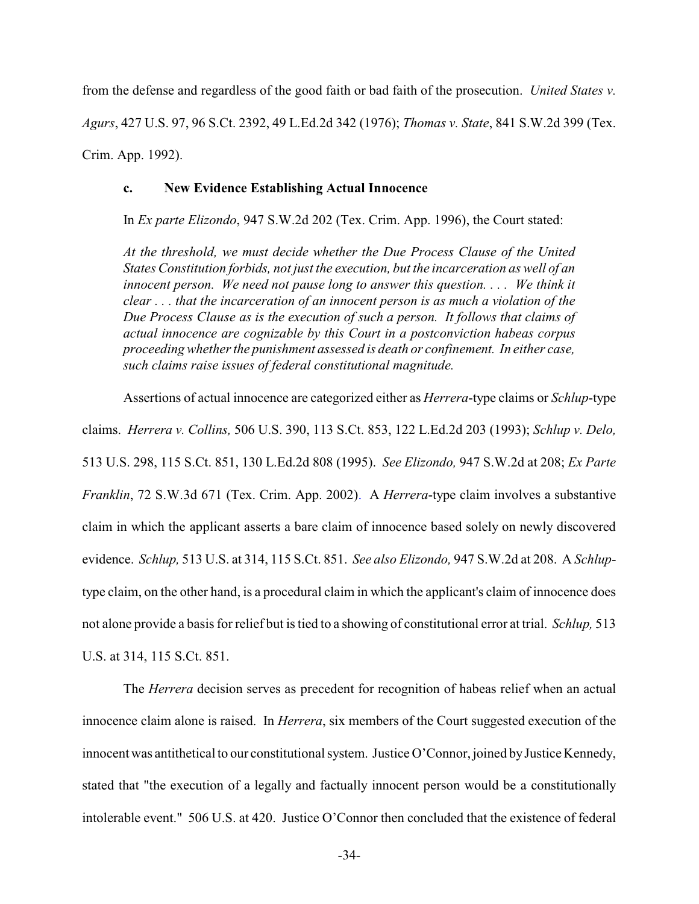from the defense and regardless of the good faith or bad faith of the prosecution. *United States v. Agurs*, 427 U.S. 97, 96 S.Ct. 2392, 49 L.Ed.2d 342 (1976); *Thomas v. State*, 841 S.W.2d 399 (Tex. Crim. App. 1992).

### **c. New Evidence Establishing Actual Innocence**

In *Ex parte Elizondo*, 947 S.W.2d 202 (Tex. Crim. App. 1996), the Court stated:

*At the threshold, we must decide whether the Due Process Clause of the United States Constitution forbids, not just the execution, but the incarceration as well of an innocent person. We need not pause long to answer this question. . . . We think it clear . . . that the incarceration of an innocent person is as much a violation of the Due Process Clause as is the execution of such a person. It follows that claims of actual innocence are cognizable by this Court in a postconviction habeas corpus proceedingwhetherthe punishment assessed is death or confinement. In either case, such claims raise issues of federal constitutional magnitude.*

Assertions of actual innocence are categorized either as *Herrera*-type claims or *Schlup*-type claims. *Herrera v. Collins,* 506 U.S. 390, 113 S.Ct. 853, 122 L.Ed.2d 203 (1993); *Schlup v. Delo,* 513 U.S. 298, 115 S.Ct. 851, 130 L.Ed.2d 808 (1995). *See Elizondo,* 947 S.W.2d at 208; *Ex Parte Franklin*, 72 S.W.3d 671 (Tex. Crim. App. 2002). A *Herrera*-type claim involves a substantive claim in which the applicant asserts a bare claim of innocence based solely on newly discovered evidence. *Schlup,* 513 U.S. at 314, 115 S.Ct. 851. *See also Elizondo,* 947 S.W.2d at 208. A *Schlup*type claim, on the other hand, is a procedural claim in which the applicant's claim of innocence does not alone provide a basis for relief but istied to a showing of constitutional error at trial. *Schlup,* 513 U.S. at 314, 115 S.Ct. 851.

The *Herrera* decision serves as precedent for recognition of habeas relief when an actual innocence claim alone is raised. In *Herrera*, six members of the Court suggested execution of the innocent was antithetical to our constitutional system. Justice O'Connor, joined by Justice Kennedy, stated that "the execution of a legally and factually innocent person would be a constitutionally intolerable event." 506 U.S. at 420. Justice O'Connor then concluded that the existence of federal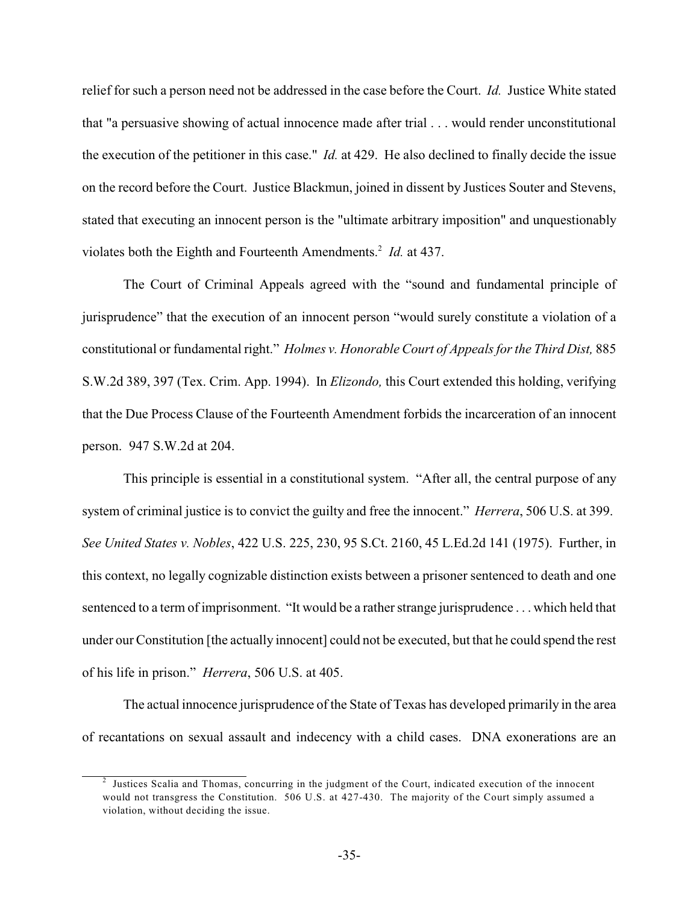relief for such a person need not be addressed in the case before the Court. *Id.* Justice White stated that "a persuasive showing of actual innocence made after trial . . . would render unconstitutional the execution of the petitioner in this case." *Id.* at 429. He also declined to finally decide the issue on the record before the Court. Justice Blackmun, joined in dissent by Justices Souter and Stevens, stated that executing an innocent person is the "ultimate arbitrary imposition" and unquestionably violates both the Eighth and Fourteenth Amendments.<sup>2</sup> Id. at 437.

The Court of Criminal Appeals agreed with the "sound and fundamental principle of jurisprudence" that the execution of an innocent person "would surely constitute a violation of a constitutional or fundamental right." *Holmes v. Honorable Court of Appeals for the Third Dist,* 885 S.W.2d 389, 397 (Tex. Crim. App. 1994). In *Elizondo,* this Court extended this holding, verifying that the Due Process Clause of the Fourteenth Amendment forbids the incarceration of an innocent person. 947 S.W.2d at 204.

This principle is essential in a constitutional system. "After all, the central purpose of any system of criminal justice is to convict the guilty and free the innocent." *Herrera*, 506 U.S. at 399. *See United States v. Nobles*, 422 U.S. 225, 230, 95 S.Ct. 2160, 45 L.Ed.2d 141 (1975). Further, in this context, no legally cognizable distinction exists between a prisoner sentenced to death and one sentenced to a term of imprisonment. "It would be a rather strange jurisprudence . . . which held that under our Constitution [the actually innocent] could not be executed, but that he could spend the rest of his life in prison." *Herrera*, 506 U.S. at 405.

The actual innocence jurisprudence of the State of Texas has developed primarily in the area of recantations on sexual assault and indecency with a child cases. DNA exonerations are an

<sup>&</sup>lt;sup>2</sup> Justices Scalia and Thomas, concurring in the judgment of the Court, indicated execution of the innocent would not transgress the Constitution. 506 U.S. at 427-430. The majority of the Court simply assumed a violation, without deciding the issue.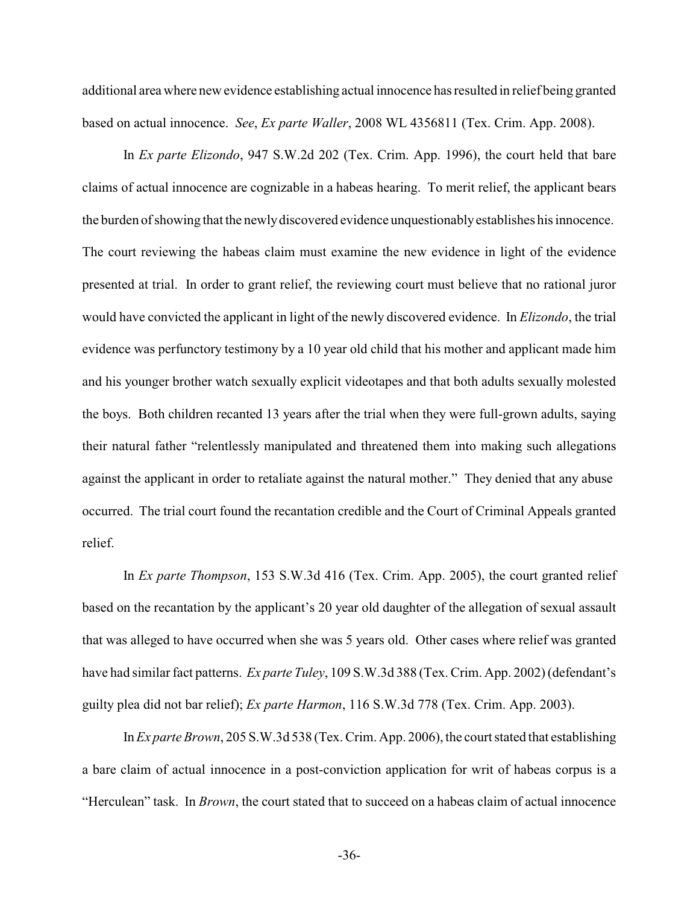additional area where new evidence establishing actual innocence has resulted in relief being granted based on actual innocence. *See*, *Ex parte Waller*, 2008 WL 4356811 (Tex. Crim. App. 2008).

In *Ex parte Elizondo*, 947 S.W.2d 202 (Tex. Crim. App. 1996), the court held that bare claims of actual innocence are cognizable in a habeas hearing. To merit relief, the applicant bears the burden of showing that the newlydiscovered evidence unquestionablyestablishes his innocence. The court reviewing the habeas claim must examine the new evidence in light of the evidence presented at trial. In order to grant relief, the reviewing court must believe that no rational juror would have convicted the applicant in light of the newly discovered evidence. In *Elizondo*, the trial evidence was perfunctory testimony by a 10 year old child that his mother and applicant made him and his younger brother watch sexually explicit videotapes and that both adults sexually molested the boys. Both children recanted 13 years after the trial when they were full-grown adults, saying their natural father "relentlessly manipulated and threatened them into making such allegations against the applicant in order to retaliate against the natural mother." They denied that any abuse occurred. The trial court found the recantation credible and the Court of Criminal Appeals granted relief.

In *Ex parte Thompson*, 153 S.W.3d 416 (Tex. Crim. App. 2005), the court granted relief based on the recantation by the applicant's 20 year old daughter of the allegation of sexual assault that was alleged to have occurred when she was 5 years old. Other cases where relief was granted have had similar fact patterns. *Ex parte Tuley*, 109 S.W.3d 388 (Tex. Crim. App. 2002)(defendant's guilty plea did not bar relief); *Ex parte Harmon*, 116 S.W.3d 778 (Tex. Crim. App. 2003).

In*Ex parte Brown*, 205 S.W.3d 538 (Tex. Crim. App. 2006), the court stated that establishing a bare claim of actual innocence in a post-conviction application for writ of habeas corpus is a "Herculean" task. In *Brown*, the court stated that to succeed on a habeas claim of actual innocence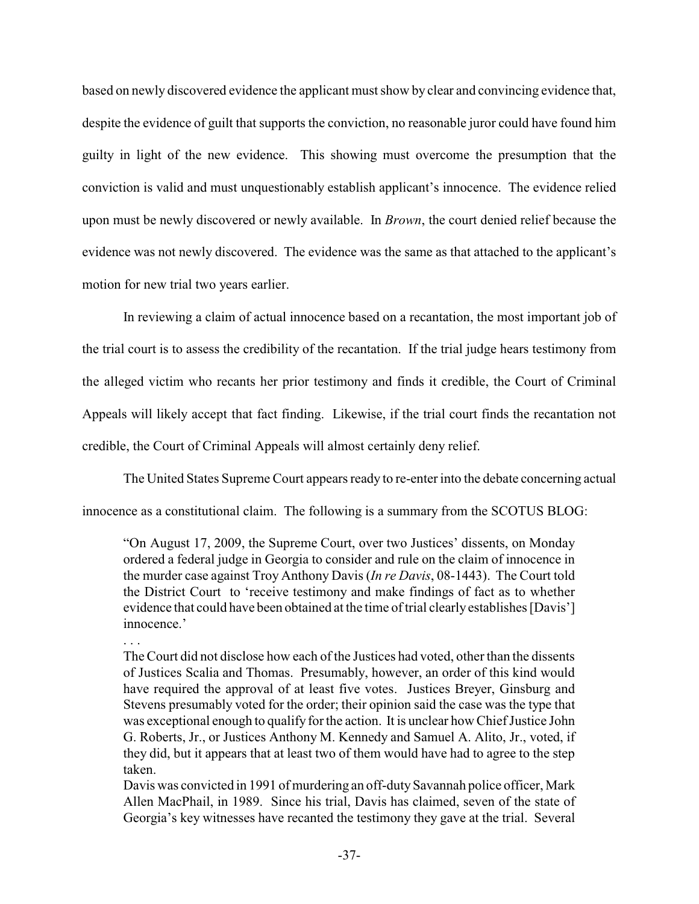based on newly discovered evidence the applicant must show by clear and convincing evidence that, despite the evidence of guilt that supports the conviction, no reasonable juror could have found him guilty in light of the new evidence. This showing must overcome the presumption that the conviction is valid and must unquestionably establish applicant's innocence. The evidence relied upon must be newly discovered or newly available. In *Brown*, the court denied relief because the evidence was not newly discovered. The evidence was the same as that attached to the applicant's motion for new trial two years earlier.

In reviewing a claim of actual innocence based on a recantation, the most important job of the trial court is to assess the credibility of the recantation. If the trial judge hears testimony from the alleged victim who recants her prior testimony and finds it credible, the Court of Criminal Appeals will likely accept that fact finding. Likewise, if the trial court finds the recantation not credible, the Court of Criminal Appeals will almost certainly deny relief.

The United States Supreme Court appears ready to re-enter into the debate concerning actual

innocence as a constitutional claim. The following is a summary from the SCOTUS BLOG:

"On August 17, 2009, the Supreme Court, over two Justices' dissents, on Monday ordered a federal judge in Georgia to consider and rule on the claim of innocence in the murder case against Troy Anthony Davis (*In re Davis*, 08-1443). The Court told the District Court to 'receive testimony and make findings of fact as to whether evidence that could have been obtained at the time of trial clearly establishes [Davis'] innocence.'

. . .

TheCourt did not disclose how each of the Justices had voted, other than the dissents of Justices Scalia and Thomas. Presumably, however, an order of this kind would have required the approval of at least five votes. Justices Breyer, Ginsburg and Stevens presumably voted for the order; their opinion said the case was the type that was exceptional enough to qualify for the action. It is unclear how Chief Justice John G. Roberts, Jr., or Justices Anthony M. Kennedy and Samuel A. Alito, Jr., voted, if they did, but it appears that at least two of them would have had to agree to the step taken.

Davis was convicted in 1991 of murdering an off-duty Savannah police officer, Mark Allen MacPhail, in 1989. Since his trial, Davis has claimed, seven of the state of Georgia's key witnesses have recanted the testimony they gave at the trial. Several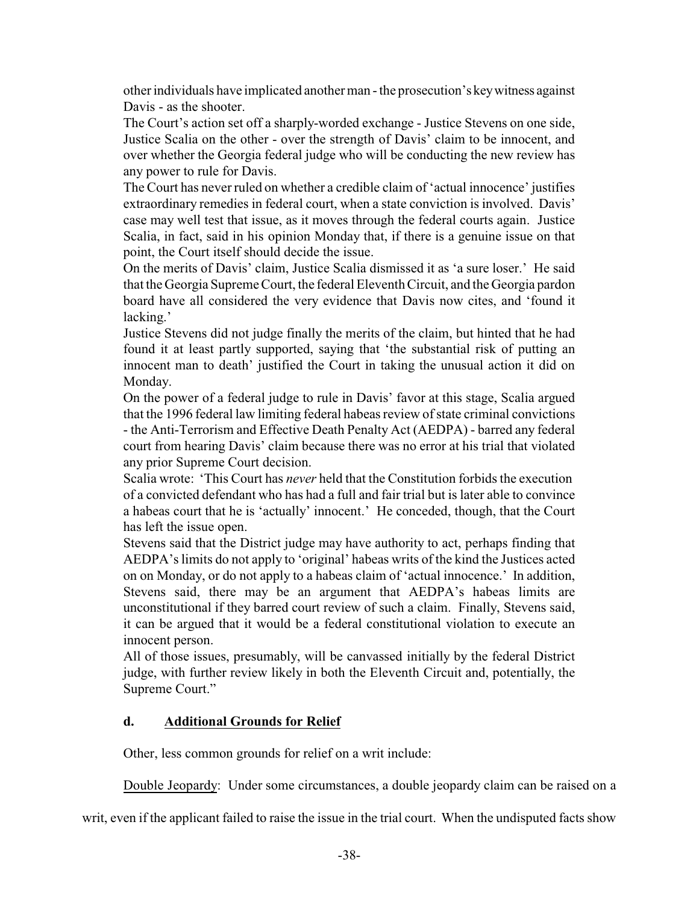otherindividuals have implicated anotherman - the prosecution's keywitness against Davis - as the shooter.

The Court's action set off a sharply-worded exchange - Justice Stevens on one side, Justice Scalia on the other - over the strength of Davis' claim to be innocent, and over whether the Georgia federal judge who will be conducting the new review has any power to rule for Davis.

The Court has never ruled on whether a credible claim of 'actual innocence' justifies extraordinary remedies in federal court, when a state conviction is involved. Davis' case may well test that issue, as it moves through the federal courts again. Justice Scalia, in fact, said in his opinion Monday that, if there is a genuine issue on that point, the Court itself should decide the issue.

On the merits of Davis' claim, Justice Scalia dismissed it as 'a sure loser.' He said that the Georgia Supreme Court, the federal Eleventh Circuit, and the Georgia pardon board have all considered the very evidence that Davis now cites, and 'found it lacking.'

Justice Stevens did not judge finally the merits of the claim, but hinted that he had found it at least partly supported, saying that 'the substantial risk of putting an innocent man to death' justified the Court in taking the unusual action it did on Monday.

On the power of a federal judge to rule in Davis' favor at this stage, Scalia argued that the 1996 federal law limiting federal habeas review of state criminal convictions - the Anti-Terrorism and Effective Death Penalty Act (AEDPA) - barred any federal court from hearing Davis' claim because there was no error at his trial that violated any prior Supreme Court decision.

Scalia wrote: 'This Court has *never* held that the Constitution forbids the execution of a convicted defendant who has had a full and fair trial but is later able to convince a habeas court that he is 'actually' innocent.' He conceded, though, that the Court has left the issue open.

Stevens said that the District judge may have authority to act, perhaps finding that AEDPA'slimits do not apply to 'original' habeas writs of the kind the Justices acted on on Monday, or do not apply to a habeas claim of 'actual innocence.' In addition, Stevens said, there may be an argument that AEDPA's habeas limits are unconstitutional if they barred court review of such a claim. Finally, Stevens said, it can be argued that it would be a federal constitutional violation to execute an innocent person.

All of those issues, presumably, will be canvassed initially by the federal District judge, with further review likely in both the Eleventh Circuit and, potentially, the Supreme Court."

## **d. Additional Grounds for Relief**

Other, less common grounds for relief on a writ include:

Double Jeopardy: Under some circumstances, a double jeopardy claim can be raised on a

writ, even if the applicant failed to raise the issue in the trial court. When the undisputed facts show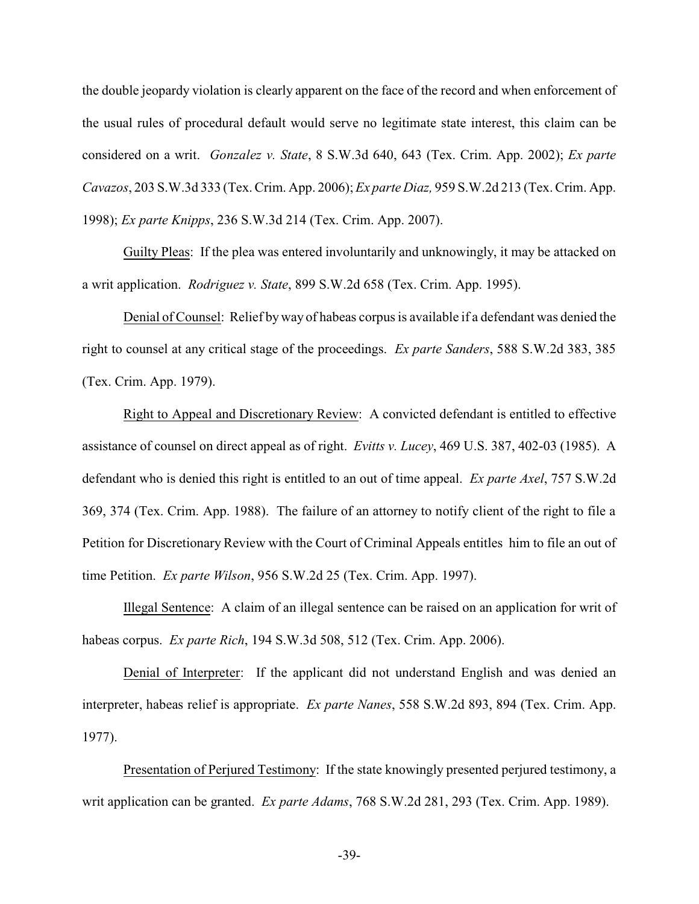the double jeopardy violation is clearly apparent on the face of the record and when enforcement of the usual rules of procedural default would serve no legitimate state interest, this claim can be considered on a writ. *Gonzalez v. State*, 8 S.W.3d 640, 643 (Tex. Crim. App. 2002); *Ex parte Cavazos*, 203 S.W.3d 333 (Tex. Crim. App. 2006); *Ex parte Diaz,* 959 S.W.2d 213 (Tex. Crim. App. 1998); *Ex parte Knipps*, 236 S.W.3d 214 (Tex. Crim. App. 2007).

Guilty Pleas: If the plea was entered involuntarily and unknowingly, it may be attacked on a writ application. *Rodriguez v. State*, 899 S.W.2d 658 (Tex. Crim. App. 1995).

Denial of Counsel: Relief byway of habeas corpus is available if a defendant was denied the right to counsel at any critical stage of the proceedings. *Ex parte Sanders*, 588 S.W.2d 383, 385 (Tex. Crim. App. 1979).

Right to Appeal and Discretionary Review: A convicted defendant is entitled to effective assistance of counsel on direct appeal as of right. *Evitts v. Lucey*, 469 U.S. 387, 402-03 (1985). A defendant who is denied this right is entitled to an out of time appeal. *Ex parte Axel*, 757 S.W.2d 369, 374 (Tex. Crim. App. 1988). The failure of an attorney to notify client of the right to file a Petition for Discretionary Review with the Court of Criminal Appeals entitles him to file an out of time Petition. *Ex parte Wilson*, 956 S.W.2d 25 (Tex. Crim. App. 1997).

Illegal Sentence: A claim of an illegal sentence can be raised on an application for writ of habeas corpus. *Ex parte Rich*, 194 S.W.3d 508, 512 (Tex. Crim. App. 2006).

Denial of Interpreter: If the applicant did not understand English and was denied an interpreter, habeas relief is appropriate. *Ex parte Nanes*, 558 S.W.2d 893, 894 (Tex. Crim. App. 1977).

Presentation of Perjured Testimony: If the state knowingly presented perjured testimony, a writ application can be granted. *Ex parte Adams*, 768 S.W.2d 281, 293 (Tex. Crim. App. 1989).